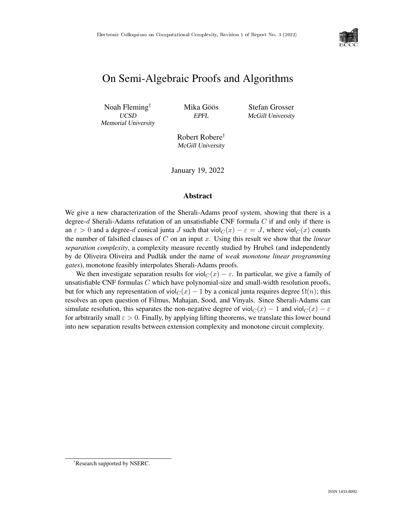

# On Semi-Algebraic Proofs and Algorithms

Noah Fleming<sup>†</sup> Mika Göös  $\qquad \qquad$  Stefan Grosser Memorial University

UCSD EPFL McGill University

Robert Robere† McGill University

January 19, 2022

### Abstract

We give a new characterization of the Sherali-Adams proof system, showing that there is a degree-d Sherali-Adams refutation of an unsatisfiable CNF formula  $C$  if and only if there is an  $\varepsilon > 0$  and a degree-d conical junta J such that viol $C(x) - \varepsilon = J$ , where viol $C(x)$  counts the number of falsified clauses of C on an input x. Using this result we show that the *linear separation complexity*, a complexity measure recently studied by Hrubeš (and independently by de Oliveira Oliveira and Pudlák under the name of *weak monotone linear programming gates*), monotone feasibly interpolates Sherali-Adams proofs.

We then investigate separation results for viol $C(x) - \varepsilon$ . In particular, we give a family of unsatisfiable CNF formulas  $C$  which have polynomial-size and small-width resolution proofs, but for which any representation of viol $C(x) - 1$  by a conical junta requires degree  $\Omega(n)$ ; this resolves an open question of Filmus, Mahajan, Sood, and Vinyals. Since Sherali-Adams can simulate resolution, this separates the non-negative degree of viol $C(x) - 1$  and viol $C(x) - \varepsilon$ for arbitrarily small  $\varepsilon > 0$ . Finally, by applying lifting theorems, we translate this lower bound into new separation results between extension complexity and monotone circuit complexity.

<sup>†</sup>Research supported by NSERC.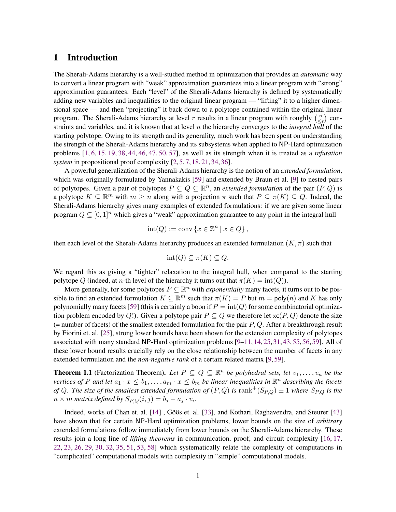# <span id="page-1-1"></span>1 Introduction

The Sherali-Adams hierarchy is a well-studied method in optimization that provides an *automatic* way to convert a linear program with "weak" approximation guarantees into a linear program with "strong" approximation guarantees. Each "level" of the Sherali-Adams hierarchy is defined by systematically adding new variables and inequalities to the original linear program — "lifting" it to a higher dimensional space — and then "projecting" it back down to a polytope contained within the original linear program. The Sherali-Adams hierarchy at level r results in a linear program with roughly  $\binom{n}{\leq n}$  $\binom{n}{\leq r}$  constraints and variables, and it is known that at level n the hierarchy converges to the *integral hull* of the starting polytope. Owing to its strength and its generality, much work has been spent on understanding the strength of the Sherali-Adams hierarchy and its subsystems when applied to NP-Hard optimization problems [\[1,](#page-26-0) [6,](#page-26-1) [15,](#page-27-0) [19,](#page-27-1) [38,](#page-29-0) [44,](#page-29-1) [46,](#page-29-2) [47,](#page-29-3) [50,](#page-29-4) [57\]](#page--1-0), as well as its strength when it is treated as a *refutation system* in propositional proof complexity [\[2,](#page-26-2) [5,](#page-26-3) [7,](#page-26-4) [18,](#page-27-2) [21,](#page-27-3) [34,](#page-28-0) [36\]](#page-28-1).

A powerful generalization of the Sherali-Adams hierarchy is the notion of an *extended formulation*, which was originally formulated by Yannakakis [\[59\]](#page--1-1) and extended by Braun et al. [\[9\]](#page-26-5) to nested pairs of polytopes. Given a pair of polytopes  $P \subseteq Q \subseteq \mathbb{R}^n$ , an *extended formulation* of the pair  $(P, Q)$  is a polytope  $K \subseteq \mathbb{R}^m$  with  $m \geq n$  along with a projection  $\pi$  such that  $P \subseteq \pi(K) \subseteq Q$ . Indeed, the Sherali-Adams hierarchy gives many examples of extended formulations: if we are given some linear program  $Q \subseteq [0, 1]^n$  which gives a "weak" approximation guarantee to any point in the integral hull

$$
int(Q) := conv\left\{x \in \mathbb{Z}^n \mid x \in Q\right\},\
$$

then each level of the Sherali-Adams hierarchy produces an extended formulation  $(K, \pi)$  such that

$$
int(Q) \subseteq \pi(K) \subseteq Q.
$$

We regard this as giving a "tighter" relaxation to the integral hull, when compared to the starting polytope Q (indeed, at n-th level of the hierarchy it turns out that  $\pi(K) = \text{int}(Q)$ ).

More generally, for some polytopes  $P \subseteq \mathbb{R}^n$  with *exponentially* many facets, it turns out to be possible to find an extended formulation  $K \subseteq \mathbb{R}^m$  such that  $\pi(K) = P$  but  $m = \text{poly}(n)$  and K has only polynomially many facets [\[59\]](#page--1-1) (this is certainly a boon if  $P = \text{int}(Q)$  for some combinatorial optimization problem encoded by Q!). Given a polytope pair  $P \subseteq Q$  we therefore let  $\mathsf{xc}(P,Q)$  denote the size (= number of facets) of the smallest extended formulation for the pair  $P$ ,  $Q$ . After a breakthrough result by Fiorini et. al. [\[25\]](#page-28-2), strong lower bounds have been shown for the extension complexity of polytopes associated with many standard NP-Hard optimization problems [\[9–](#page-26-5)[11,](#page-26-6) [14,](#page-27-4) [25,](#page-28-2) [31,](#page-28-3) [43,](#page-29-5) [55,](#page--1-2) [56,](#page--1-3) [59\]](#page--1-1). All of these lower bound results crucially rely on the close relationship between the number of facets in any extended formulation and the *non-negative rank* of a certain related matrix [\[9,](#page-26-5)[59\]](#page--1-1).

<span id="page-1-0"></span>**Theorem 1.1** (Factorization Theorem). Let  $P \subseteq Q \subseteq \mathbb{R}^n$  be polyhedral sets, let  $v_1, \ldots, v_n$  be the *vertices of* P and let  $a_1 \cdot x \leq b_1, \ldots, a_m \cdot x \leq b_m$  be linear inequalities in  $\mathbb{R}^n$  describing the facets *of* Q. The size of the smallest extended formulation of  $(P,Q)$  is rank<sup>+</sup> $(S_{P,Q}) \pm 1$  where  $S_{P,Q}$  is the  $n \times m$  *matrix defined by*  $S_{P,Q}(i,j) = b_j - a_j \cdot v_i$ .

Indeed, works of Chan et. al. [\[14\]](#page-27-4), Göös et. al. [[33\]](#page-28-4), and Kothari, Raghavendra, and Steurer [\[43\]](#page-29-5) have shown that for certain NP-Hard optimization problems, lower bounds on the size of *arbitrary* extended formulations follow immediately from lower bounds on the Sherali-Adams hierarchy. These results join a long line of *lifting theorems* in communication, proof, and circuit complexity [\[16,](#page-27-5) [17,](#page-27-6) [22,](#page-27-7) [23,](#page-27-8) [26,](#page-28-5) [29,](#page-28-6) [30,](#page-28-7) [32,](#page-28-8) [35,](#page-28-9) [51,](#page--1-4) [53,](#page--1-5) [58\]](#page--1-6) which systematically relate the complexity of computations in "complicated" computational models with complexity in "simple" computational models.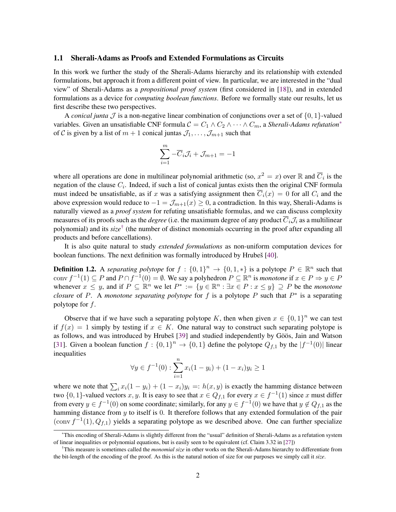#### 1.1 Sherali-Adams as Proofs and Extended Formulations as Circuits

In this work we further the study of the Sherali-Adams hierarchy and its relationship with extended formulations, but approach it from a different point of view. In particular, we are interested in the "dual view" of Sherali-Adams as a *propositional proof system* (first considered in [\[18\]](#page-27-2)), and in extended formulations as a device for *computing boolean functions*. Before we formally state our results, let us first describe these two perspectives.

A *conical junta* J is a non-negative linear combination of conjunctions over a set of  $\{0, 1\}$ -valued variables. Given an unsatisfiable CNF formula  $C = C_1 \wedge C_2 \wedge \cdots \wedge C_m$ , a *Sherali-Adams refutation*<sup>[\\*](#page-2-0)</sup> of C is given by a list of  $m + 1$  conical juntas  $\mathcal{J}_1, \ldots, \mathcal{J}_{m+1}$  such that

$$
\sum_{i=1}^{m} -\overline{C}_i \mathcal{J}_i + \mathcal{J}_{m+1} = -1
$$

where all operations are done in multilinear polynomial arithmetic (so,  $x^2 = x$ ) over R and  $\overline{C}_i$  is the negation of the clause  $C_i$ . Indeed, if such a list of conical juntas exists then the original CNF formula must indeed be unsatisfiable, as if x was a satisfying assignment then  $\overline{C}_i(x) = 0$  for all  $C_i$  and the above expression would reduce to  $-1 = \mathcal{J}_{m+1}(x) \geq 0$ , a contradiction. In this way, Sherali-Adams is naturally viewed as a *proof system* for refuting unsatisfiable formulas, and we can discuss complexity measures of its proofs such as the *degree* (i.e. the maximum degree of any product  $\overline{C}_i \mathcal{J}_i$  as a multilinear polynomial) and its *size*[†](#page-2-1) (the number of distinct monomials occurring in the proof after expanding all products and before cancellations).

It is also quite natural to study *extended formulations* as non-uniform computation devices for boolean functions. The next definition was formally introduced by Hrubeš [[40\]](#page-29-6).

**Definition 1.2.** A *separating polytope* for  $f : \{0,1\}^n \to \{0,1,*\}$  is a polytope  $P \in \mathbb{R}^n$  such that conv  $f^{-1}(1) \subseteq P$  and  $P \cap f^{-1}(0) = \emptyset$ . We say a polyhedron  $P \subseteq \mathbb{R}^n$  is *monotone* if  $x \in P \Rightarrow y \in P$ whenever  $x \leq y$ , and if  $P \subseteq \mathbb{R}^n$  we let  $P^* := \{y \in \mathbb{R}^n : \exists x \in P : x \leq y\} \supseteq P$  be the *monotone closure* of P. A *monotone separating polytope* for f is a polytope P such that  $P^*$  is a separating polytope for  $f$ .

Observe that if we have such a separating polytope K, then when given  $x \in \{0,1\}^n$  we can test if  $f(x) = 1$  simply by testing if  $x \in K$ . One natural way to construct such separating polytope is as follows, and was introduced by Hrubeš [[39\]](#page-29-7) and studied independently by Göös, Jain and Watson [\[31\]](#page-28-3). Given a boolean function  $f: \{0,1\}^n \to \{0,1\}$  define the polytope  $Q_{f,1}$  by the  $|f^{-1}(0)|$  linear inequalities

$$
\forall y \in f^{-1}(0) : \sum_{i=1}^{n} x_i (1 - y_i) + (1 - x_i) y_i \ge 1
$$

where we note that  $\sum_i x_i(1 - y_i) + (1 - x_i)y_i =: h(x, y)$  is exactly the hamming distance between two  $\{0, 1\}$ -valued vectors x, y. It is easy to see that  $x \in Q_{f,1}$  for every  $x \in f^{-1}(1)$  since x must differ from every  $y \in f^{-1}(0)$  on some coordinate; similarly, for any  $y \in f^{-1}(0)$  we have that  $y \notin Q_{f,1}$  as the hamming distance from y to itself is 0. It therefore follows that any extended formulation of the pair  $(\text{conv } f^{-1}(1), Q_{f,1})$  yields a separating polytope as we described above. One can further specialize

<span id="page-2-0"></span><sup>\*</sup>This encoding of Sherali-Adams is slightly different from the "usual" definition of Sherali-Adams as a refutation system of linear inequalities or polynomial equations, but is easily seen to be equivalent (cf. Claim 3.32 in [\[27\]](#page-28-10))

<span id="page-2-1"></span><sup>†</sup>This measure is sometimes called the *monomial size* in other works on the Sherali-Adams hierarchy to differentiate from the bit-length of the encoding of the proof. As this is the natural notion of size for our purposes we simply call it *size*.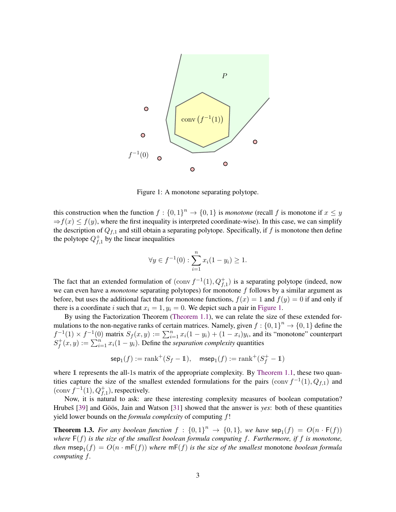

Figure 1: A monotone separating polytope.

<span id="page-3-0"></span>this construction when the function  $f: \{0,1\}^n \to \{0,1\}$  is *monotone* (recall f is monotone if  $x \leq y$  $\Rightarrow f(x) \leq f(y)$ , where the first inequality is interpreted coordinate-wise). In this case, we can simplify the description of  $Q_{f,1}$  and still obtain a separating polytope. Specifically, if f is monotone then define the polytope  $Q_t^+$  $f_{,1}^+$  by the linear inequalities

$$
\forall y \in f^{-1}(0) : \sum_{i=1}^{n} x_i (1 - y_i) \ge 1.
$$

The fact that an extended formulation of  $(\text{conv } f^{-1}(1), Q_{f,1}^+)$  is a separating polytope (indeed, now we can even have a *monotone* separating polytopes) for monotone f follows by a similar argument as before, but uses the additional fact that for monotone functions,  $f(x) = 1$  and  $f(y) = 0$  if and only if there is a coordinate i such that  $x_i = 1$ ,  $y_i = 0$ . We depict such a pair in [Figure 1.](#page-3-0)

By using the Factorization Theorem [\(Theorem 1.1\)](#page-1-0), we can relate the size of these extended formulations to the non-negative ranks of certain matrices. Namely, given  $f: \{0,1\}^n \to \{0,1\}$  define the  $f^{-1}(1) \times f^{-1}(0)$  matrix  $S_f(x, y) := \sum_{i=1}^n x_i(1 - y_i) + (1 - x_i)y_i$ , and its "monotone" counterpart  $S_f^+$  $f_f^+(x,y) := \sum_{i=1}^n x_i(1-y_i)$ . Define the *separation complexity* quantities

$$
\mathsf{sep}_1(f):=\mathsf{rank}^+(S_f-{\rm 1\hspace{-0.9mm}l}),\quad\mathsf{msep}_1(f):=\mathsf{rank}^+(S_f^+-{\rm 1\hspace{-0.9mm}l})
$$

where 1 represents the all-1s matrix of the appropriate complexity. By [Theorem 1.1,](#page-1-0) these two quantities capture the size of the smallest extended formulations for the pairs  $(\text{conv } f^{-1}(1), Q_{f,1})$  and  $(\text{conv } f^{-1}(1), Q_{f,1}^+)$ , respectively.

Now, it is natural to ask: are these interesting complexity measures of boolean computation? Hrubes [[39\]](#page-29-7) and Göös, Jain and Watson [[31\]](#page-28-3) showed that the answer is *yes*: both of these quantities yield lower bounds on the *formula complexity* of computing f!

<span id="page-3-1"></span>**Theorem 1.3.** For any boolean function  $f : \{0,1\}^n \to \{0,1\}$ , we have  $\text{sep}_1(f) = O(n \cdot \mathsf{F}(f))$ *where* F(f) *is the size of the smallest boolean formula computing* f*. Furthermore, if* f *is monotone, then*  $\mathsf{msep}_1(f) = O(n \cdot \mathsf{mF}(f))$  *where*  $\mathsf{mF}(f)$  *is the size of the smallest* monotone *boolean formula computing* f*.*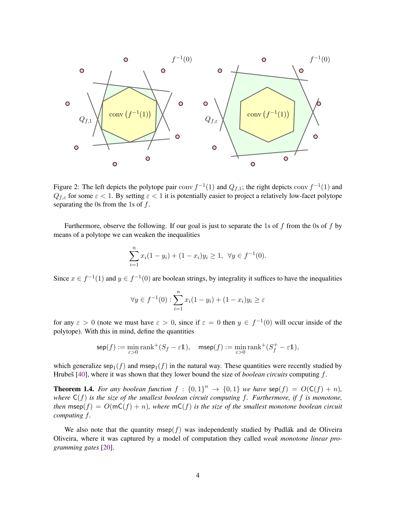

Figure 2: The left depicts the polytope pair conv  $f^{-1}(1)$  and  $Q_{f,1}$ ; the right depicts conv  $f^{-1}(1)$  and  $Q_{f,\varepsilon}$  for some  $\varepsilon < 1$ . By setting  $\varepsilon < 1$  it is potentially easier to project a relatively low-facet polytope separating the 0s from the 1s of  $f$ .

Furthermore, observe the following. If our goal is just to separate the 1s of  $f$  from the 0s of  $f$  by means of a polytope we can weaken the inequalities

$$
\sum_{i=1}^{n} x_i (1 - y_i) + (1 - x_i) y_i \ge 1, \ \forall y \in f^{-1}(0).
$$

Since  $x \in f^{-1}(1)$  and  $y \in f^{-1}(0)$  are boolean strings, by integrality it suffices to have the inequalities

$$
\forall y \in f^{-1}(0) : \sum_{i=1}^{n} x_i (1 - y_i) + (1 - x_i) y_i \ge \varepsilon
$$

for any  $\varepsilon > 0$  (note we must have  $\varepsilon > 0$ , since if  $\varepsilon = 0$  then  $y \in f^{-1}(0)$  will occur inside of the polytope). With this in mind, define the quantities

$$
\mathop{\rm sep}\nolimits(f):=\min_{\varepsilon>0}\mathop{\rm rank}\nolimits^+(S_f-\varepsilon 1),\quad\mathop{\rm msep}\nolimits(f):=\min_{\varepsilon>0}\mathop{\rm rank}\nolimits^+(S_f^+-\varepsilon 1),
$$

which generalize  $\mathsf{sep}_1(f)$  and msep $_1(f)$  in the natural way. These quantities were recently studied by Hrubes [[40\]](#page-29-6), where it was shown that they lower bound the size of *boolean circuits* computing f.

<span id="page-4-0"></span>**Theorem 1.4.** For any boolean function  $f : \{0,1\}^n \to \{0,1\}$  we have  $\text{sep}(f) = O(\text{C}(f) + n)$ , *where* C(f) *is the size of the smallest boolean circuit computing* f*. Furthermore, if* f *is monotone, then* msep $(f) = O(mC(f) + n)$ *, where*  $mC(f)$  *is the size of the smallest monotone boolean circuit computing* f*.*

We also note that the quantity msep( $f$ ) was independently studied by Pudlak and de Oliveira Oliveira, where it was captured by a model of computation they called *weak monotone linear programming gates* [\[20\]](#page-27-9).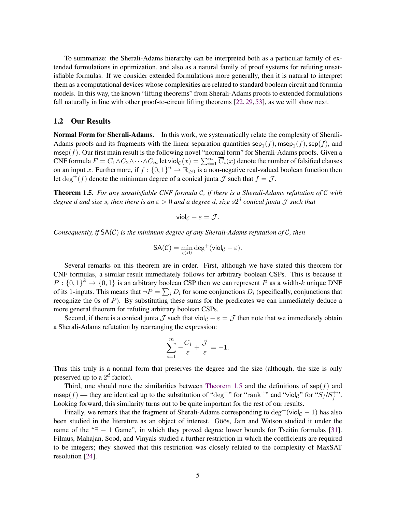To summarize: the Sherali-Adams hierarchy can be interpreted both as a particular family of extended formulations in optimization, and also as a natural family of proof systems for refuting unsatisfiable formulas. If we consider extended formulations more generally, then it is natural to interpret them as a computational devices whose complexities are related to standard boolean circuit and formula models. In this way, the known "lifting theorems" from Sherali-Adams proofs to extended formulations fall naturally in line with other proof-to-circuit lifting theorems [\[22,](#page-27-7) [29,](#page-28-6) [53\]](#page--1-5), as we will show next.

### 1.2 Our Results

Normal Form for Sherali-Adams. In this work, we systematically relate the complexity of Sherali-Adams proofs and its fragments with the linear separation quantities  $\mathsf{sep}_1(f)$ ,  $\mathsf{msep}_1(f)$ ,  $\mathsf{sep}(f)$ , and  $msep(f)$ . Our first main result is the following novel "normal form" for Sherali-Adams proofs. Given a CNF formula  $F = C_1 \wedge C_2 \wedge \cdots \wedge C_m$  let viol $c(x) = \sum_{i=1}^m \overline{C}_i(x)$  denote the number of falsified clauses on an input x. Furthermore, if  $f: \{0,1\}^n \to \mathbb{R}_{\geq 0}$  is a non-negative real-valued boolean function then let deg<sup>+</sup>(f) denote the minimum degree of a conical junta J such that  $f = J$ .

<span id="page-5-0"></span>Theorem 1.5. *For any unsatisfiable CNF formula* C*, if there is a Sherali-Adams refutation of* C *with degree* d *and size* s*, then there is an* ε > 0 *and a degree* d*, size* s2 d *conical junta* J *such that*

$$
\mathsf{viol}_{\mathcal{C}} - \varepsilon = \mathcal{J}.
$$

*Consequently, if* SA(C) *is the minimum degree of any Sherali-Adams refutation of* C*, then*

$$
\mathsf{SA}(\mathcal{C}) = \min_{\varepsilon > 0} \deg^+(\mathsf{viol}_{\mathcal{C}} - \varepsilon).
$$

Several remarks on this theorem are in order. First, although we have stated this theorem for CNF formulas, a similar result immediately follows for arbitrary boolean CSPs. This is because if  $P: \{0,1\}^k \to \{0,1\}$  is an arbitrary boolean CSP then we can represent P as a width-k unique DNF of its 1-inputs. This means that  $\neg P = \sum_i D_i$  for some conjunctions  $D_i$  (specifically, conjunctions that recognize the 0s of P). By substituting these sums for the predicates we can immediately deduce a more general theorem for refuting arbitrary boolean CSPs.

Second, if there is a conical junta  $\mathcal J$  such that viol $c - \varepsilon = \mathcal J$  then note that we immediately obtain a Sherali-Adams refutation by rearranging the expression:

$$
\sum_{i=1}^{m} -\frac{\overline{C}_i}{\varepsilon} + \frac{\mathcal{J}}{\varepsilon} = -1.
$$

Thus this truly is a normal form that preserves the degree and the size (although, the size is only preserved up to a  $2^d$  factor).

Third, one should note the similarities between [Theorem 1.5](#page-5-0) and the definitions of  $\text{sep}(f)$  and msep(f) — they are identical up to the substitution of "deg<sup>+</sup>" for "rank<sup>+</sup>" and "viol<sub>c</sub>" for " $S_f/S_f^+$  $^{\,+\, \boldsymbol{\cdot}\boldsymbol{ \cdot}}_{f}$  . Looking forward, this similarity turns out to be quite important for the rest of our results.

Finally, we remark that the fragment of Sherali-Adams corresponding to  $\deg^+(\text{viol}_{\mathcal{C}} - 1)$  has also been studied in the literature as an object of interest. Göös, Jain and Watson studied it under the name of the " $\exists$  - 1 Game", in which they proved degree lower bounds for Tseitin formulas [\[31\]](#page-28-3). Filmus, Mahajan, Sood, and Vinyals studied a further restriction in which the coefficients are required to be integers; they showed that this restriction was closely related to the complexity of MaxSAT resolution [\[24\]](#page-27-10).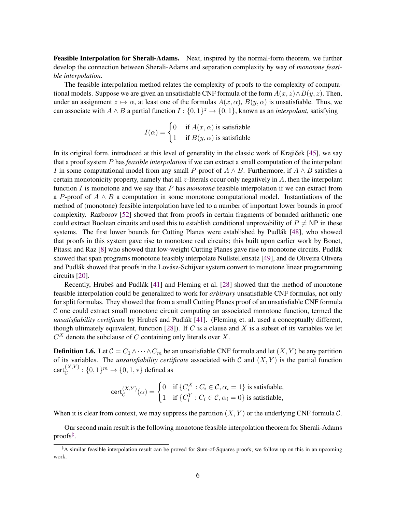Feasible Interpolation for Sherali-Adams. Next, inspired by the normal-form theorem, we further develop the connection between Sherali-Adams and separation complexity by way of *monotone feasible interpolation*.

The feasible interpolation method relates the complexity of proofs to the complexity of computational models. Suppose we are given an unsatisfiable CNF formula of the form  $A(x, z) \wedge B(y, z)$ . Then, under an assignment  $z \mapsto \alpha$ , at least one of the formulas  $A(x, \alpha)$ ,  $B(y, \alpha)$  is unsatisfiable. Thus, we can associate with  $A \wedge B$  a partial function  $I: \{0,1\}^z \to \{0,1\}$ , known as an *interpolant*, satisfying

$$
I(\alpha) = \begin{cases} 0 & \text{if } A(x, \alpha) \text{ is satisfiable} \\ 1 & \text{if } B(y, \alpha) \text{ is satisfiable} \end{cases}
$$

In its original form, introduced at this level of generality in the classic work of Krajiček [[45\]](#page-29-8), we say that a proof system P has *feasible interpolation* if we can extract a small computation of the interpolant I in some computational model from any small P-proof of  $A \wedge B$ . Furthermore, if  $A \wedge B$  satisfies a certain monotonicity property, namely that all  $z$ -literals occur only negatively in  $\overline{A}$ , then the interpolant function I is monotone and we say that P has *monotone* feasible interpolation if we can extract from a P-proof of  $A \wedge B$  a computation in some monotone computational model. Instantiations of the method of (monotone) feasible interpolation have led to a number of important lower bounds in proof complexity. Razborov [\[52\]](#page--1-7) showed that from proofs in certain fragments of bounded arithmetic one could extract Boolean circuits and used this to establish conditional unprovability of  $P \neq NP$  in these systems. The first lower bounds for Cutting Planes were established by Pudlák  $[48]$  $[48]$ , who showed that proofs in this system gave rise to monotone real circuits; this built upon earlier work by Bonet, Pitassi and Raz [\[8\]](#page-26-7) who showed that low-weight Cutting Planes gave rise to monotone circuits. Pudlak´ showed that span programs monotone feasibly interpolate Nullstellensatz [\[49\]](#page-29-10), and de Oliveira Olivera and Pudlák showed that proofs in the Lovász-Schijver system convert to monotone linear programming circuits [\[20\]](#page-27-9).

Recently, Hrubeš and Pudlák [[41\]](#page-29-11) and Fleming et al. [\[28\]](#page-28-11) showed that the method of monotone feasible interpolation could be generalized to work for *arbitrary* unsatisfiable CNF formulas, not only for split formulas. They showed that from a small Cutting Planes proof of an unsatisfiable CNF formula  $\mathcal C$  one could extract small monotone circuit computing an associated monotone function, termed the *unsatisfiability certificate* by Hrubeš and Pudlák [[41\]](#page-29-11). (Fleming et. al. used a conceptually different, though ultimately equivalent, function [\[28\]](#page-28-11)). If C is a clause and X is a subset of its variables we let  $C^X$  denote the subclause of C containing only literals over X.

<span id="page-6-1"></span>**Definition 1.6.** Let  $C = C_1 \wedge \cdots \wedge C_m$  be an unsatisfiable CNF formula and let  $(X, Y)$  be any partition of its variables. The *unsatisfiability certificate* associated with  $C$  and  $(X, Y)$  is the partial function  $\operatorname{\sf cert}_{\mathcal C}^{(X,Y)}:\{0,1\}^m\to\{0,1,*\}$  defined as

$$
\operatorname{cert}_{\mathcal{C}}^{(X,Y)}(\alpha) = \begin{cases} 0 & \text{if } \{C_i^X : C_i \in \mathcal{C}, \alpha_i = 1\} \text{ is satisfiable,} \\ 1 & \text{if } \{C_i^Y : C_i \in \mathcal{C}, \alpha_i = 0\} \text{ is satisfiable,} \end{cases}
$$

When it is clear from context, we may suppress the partition  $(X, Y)$  or the underlying CNF formula C.

Our second main result is the following monotone feasible interpolation theorem for Sherali-Adams proofs[‡](#page-6-0) .

<span id="page-6-0"></span><sup>‡</sup>A similar feasible interpolation result can be proved for Sum-of-Squares proofs; we follow up on this in an upcoming work.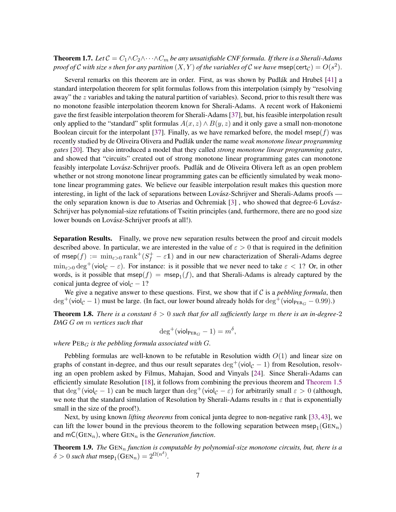**Theorem 1.7.** Let  $C = C_1 \wedge C_2 \wedge \cdots \wedge C_m$  be any unsatisfiable CNF formula. If there is a Sherali-Adams *proof of*  $C$  *with size s then for any partition*  $(X, Y)$  *of the variables of*  $C$  *we have* msep(cert<sub>C</sub>) =  $O(s^2)$ .

Several remarks on this theorem are in order. First, as was shown by Pudlák and Hrubeš [[41\]](#page-29-11) a standard interpolation theorem for split formulas follows from this interpolation (simply by "resolving away" the z variables and taking the natural partition of variables). Second, prior to this result there was no monotone feasible interpolation theorem known for Sherali-Adams. A recent work of Hakoniemi gave the first feasible interpolation theorem for Sherali-Adams [\[37\]](#page-28-12), but, his feasible interpolation result only applied to the "standard" split formulas  $A(x, z) \wedge B(y, z)$  and it only gave a small non-monotone Boolean circuit for the interpolant [\[37\]](#page-28-12). Finally, as we have remarked before, the model msep( $f$ ) was recently studied by de Oliveira Olivera and Pudlák under the name *weak monotone linear programming gates* [\[20\]](#page-27-9). They also introduced a model that they called *strong monotone linear programming gates*, and showed that "circuits" created out of strong monotone linear programming gates can monotone feasibly interpolate Lovász-Schrijver proofs. Pudlák and de Oliveira Olivera left as an open problem whether or not strong monotone linear programming gates can be efficiently simulated by weak monotone linear programming gates. We believe our feasible interpolation result makes this question more interesting, in light of the lack of separations between Lovász-Schrijver and Sherali-Adams proofs the only separation known is due to Atserias and Ochremiak  $[3]$ , who showed that degree-6 Lovász-Schrijver has polynomial-size refutations of Tseitin principles (and, furthermore, there are no good size lower bounds on Lovász-Schrijver proofs at all!).

Separation Results. Finally, we prove new separation results between the proof and circuit models described above. In particular, we are interested in the value of  $\varepsilon > 0$  that is required in the definition of msep $(f) := \min_{\varepsilon > 0} \text{rank}^+(S_f^+ - \varepsilon \mathbb{1})$  and in our new characterization of Sherali-Adams degree  $\min_{\varepsilon>0} \deg^+(\text{viol}_{\mathcal{C}} - \varepsilon)$ . For instance: is it possible that we never need to take  $\varepsilon < 1$ ? Or, in other words, is it possible that msep $(f) = \text{mse}_{1}(f)$ , and that Sherali-Adams is already captured by the conical junta degree of viol $_{\mathcal{C}}$  − 1?

We give a negative answer to these questions. First, we show that if  $C$  is a *pebbling formula*, then  $\deg^+(\text{viol}_\mathcal{C} - 1)$  must be large. (In fact, our lower bound already holds for  $\deg^+(\text{viol}_{\text{PEB}_G} - 0.99)$ .)

<span id="page-7-0"></span>**Theorem 1.8.** *There is a constant*  $\delta > 0$  *such that for all sufficiently large* m *there is an in-degree-2 DAG* G *on* m *vertices such that*

$$
\deg^+(\mathsf{viol}_{\mathsf{PEB}_G} - 1) = m^\delta,
$$

*where*  $PEB<sub>G</sub>$  *is the pebbling formula associated with*  $G$ *.* 

Pebbling formulas are well-known to be refutable in Resolution width  $O(1)$  and linear size on graphs of constant in-degree, and thus our result separates  $\deg^+(\text{viol}_{\mathcal{C}} - 1)$  from Resolution, resolving an open problem asked by Filmus, Mahajan, Sood and Vinyals [\[24\]](#page-27-10). Since Sherali-Adams can efficiently simulate Resolution [\[18\]](#page-27-2), it follows from combining the previous theorem and [Theorem 1.5](#page-5-0) that  $\deg^+(\text{viol}_{\mathcal{C}} - 1)$  can be much larger than  $\deg^+(\text{viol}_{\mathcal{C}} - \varepsilon)$  for arbitrarily small  $\varepsilon > 0$  (although, we note that the standard simulation of Resolution by Sherali-Adams results in  $\varepsilon$  that is exponentially small in the size of the proof!).

Next, by using known *lifting theorems* from conical junta degree to non-negative rank [\[33,](#page-28-4) [43\]](#page-29-5), we can lift the lower bound in the previous theorem to the following separation between msep<sub>1</sub>(GEN<sub>n</sub>) and  $mC(GEN_n)$ , where  $GEN_n$  is the *Generation function*.

<span id="page-7-1"></span>Theorem 1.9. *The* GEN<sub>n</sub> function is computable by polynomial-size monotone circuits, but, there is a  $\delta > 0$  such that msep<sub>1</sub>(GEN<sub>n</sub>) =  $2^{\Omega(n^{\delta})}$ .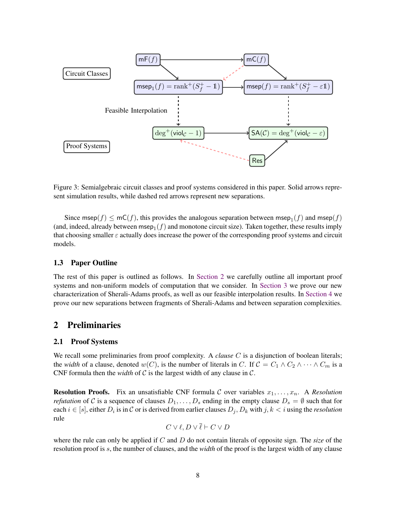

Figure 3: Semialgebraic circuit classes and proof systems considered in this paper. Solid arrows represent simulation results, while dashed red arrows represent new separations.

Since msep $(f) \le mC(f)$ , this provides the analogous separation between msep $_1(f)$  and msep $(f)$ (and, indeed, already between msep $_1(f)$  and monotone circuit size). Taken together, these results imply that choosing smaller  $\varepsilon$  actually does increase the power of the corresponding proof systems and circuit models.

### 1.3 Paper Outline

The rest of this paper is outlined as follows. In [Section 2](#page-8-0) we carefully outline all important proof systems and non-uniform models of computation that we consider. In [Section 3](#page-12-0) we prove our new characterization of Sherali-Adams proofs, as well as our feasible interpolation results. In [Section 4](#page-14-0) we prove our new separations between fragments of Sherali-Adams and between separation complexities.

# <span id="page-8-0"></span>2 Preliminaries

### 2.1 Proof Systems

We recall some preliminaries from proof complexity. A *clause C* is a disjunction of boolean literals; the *width* of a clause, denoted w(C), is the number of literals in C. If  $C = C_1 \wedge C_2 \wedge \cdots \wedge C_m$  is a CNF formula then the *width* of  $C$  is the largest width of any clause in  $C$ .

**Resolution Proofs.** Fix an unsatisfiable CNF formula C over variables  $x_1, \ldots, x_n$ . A *Resolution refutation* of C is a sequence of clauses  $D_1, \ldots, D_s$  ending in the empty clause  $D_s = \emptyset$  such that for each  $i \in [s]$ , either  $D_i$  is in  $C$  or is derived from earlier clauses  $D_j, D_k$  with  $j, k < i$  using the *resolution* rule

$$
C\vee \ell, D\vee \overline{\ell} \vdash C\vee D
$$

where the rule can only be applied if C and D do not contain literals of opposite sign. The *size* of the resolution proof is s, the number of clauses, and the *width* of the proof is the largest width of any clause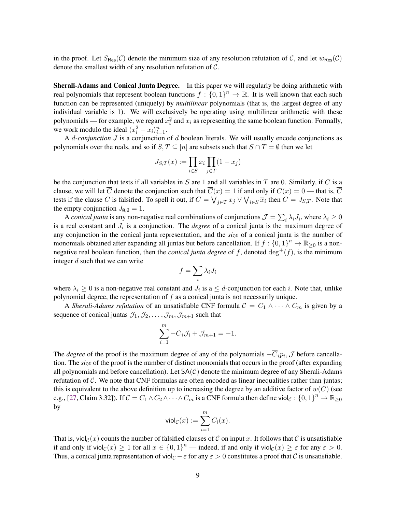in the proof. Let  $S_{\text{Res}}(\mathcal{C})$  denote the minimum size of any resolution refutation of  $\mathcal{C}$ , and let  $w_{\text{Res}}(\mathcal{C})$ denote the smallest width of any resolution refutation of C.

Sherali-Adams and Conical Junta Degree. In this paper we will regularly be doing arithmetic with real polynomials that represent boolean functions  $f: \{0,1\}^n \to \mathbb{R}$ . It is well known that each such function can be represented (uniquely) by *multilinear* polynomials (that is, the largest degree of any individual variable is 1). We will exclusively be operating using multilinear arithmetic with these polynomials — for example, we regard  $x_i^2$  and  $x_i$  as representing the same boolean function. Formally, we work modulo the ideal  $\langle x_i^2 - x_i \rangle_{i=1}^n$ .

A d*-conjunction* J is a conjunction of d boolean literals. We will usually encode conjunctions as polynomials over the reals, and so if  $S, T \subseteq [n]$  are subsets such that  $S \cap T = \emptyset$  then we let

$$
J_{S,T}(x):=\prod_{i\in S}x_i\prod_{j\in T}(1-x_j)
$$

be the conjunction that tests if all variables in  $S$  are 1 and all variables in  $T$  are 0. Similarly, if  $C$  is a clause, we will let  $\overline{C}$  denote the conjunction such that  $\overline{C}(x) = 1$  if and only if  $C(x) = 0$  — that is,  $\overline{C}$ tests if the clause C is falsified. To spell it out, if  $C = \bigvee_{j \in T} x_j \vee \bigvee_{i \in S} \overline{x}_i$  then  $\overline{C} = J_{S,T}$ . Note that the empty conjunction  $J_{\emptyset,\emptyset} = 1$ .

A *conical junta* is any non-negative real combinations of conjunctions  $\mathcal{J} = \sum_i \lambda_i J_i$ , where  $\lambda_i \ge 0$ is a real constant and  $J_i$  is a conjunction. The *degree* of a conical junta is the maximum degree of any conjunction in the conical junta representation, and the *size* of a conical junta is the number of monomials obtained after expanding all juntas but before cancellation. If  $f: \{0,1\}^n \to \mathbb{R}_{\geq 0}$  is a nonnegative real boolean function, then the *conical junta degree* of f, denoted  $\deg^+(f)$ , is the minimum integer d such that we can write

$$
f=\sum_i\lambda_iJ_i
$$

where  $\lambda_i \geq 0$  is a non-negative real constant and  $J_i$  is a  $\leq d$ -conjunction for each i. Note that, unlike polynomial degree, the representation of  $f$  as a conical junta is not necessarily unique.

A *Sherali-Adams refutation* of an unsatisfiable CNF formula  $C = C_1 \wedge \cdots \wedge C_m$  is given by a sequence of conical juntas  $\mathcal{J}_1, \mathcal{J}_2, \ldots, \mathcal{J}_m, \mathcal{J}_{m+1}$  such that

$$
\sum_{i=1}^{m} -\overline{C}_i \mathcal{J}_i + \mathcal{J}_{m+1} = -1.
$$

The *degree* of the proof is the maximum degree of any of the polynomials  $-\overline{C}_i p_i$ ,  $\mathcal{J}$  before cancellation. The *size* of the proof is the number of distinct monomials that occurs in the proof (after expanding all polynomials and before cancellation). Let  $SA(\mathcal{C})$  denote the minimum degree of any Sherali-Adams refutation of C. We note that CNF formulas are often encoded as linear inequalities rather than juntas; this is equivalent to the above definition up to increasing the degree by an additive factor of  $w(C)$  (see e.g., [\[27,](#page-28-10) Claim 3.32]). If  $C = C_1 \wedge C_2 \wedge \cdots \wedge C_m$  is a CNF formula then define viol $c: \{0,1\}^n \to \mathbb{R}_{\geq 0}$ by

$$
\mathrm{viol}_{\mathcal{C}}(x) := \sum_{i=1}^m \overline{C_i}(x).
$$

That is, viol $c(x)$  counts the number of falsified clauses of C on input x. It follows that C is unsatisfiable if and only if  $\text{viol}_{\mathcal{C}}(x) \ge 1$  for all  $x \in \{0,1\}^n$  — indeed, if and only if  $\text{viol}_{\mathcal{C}}(x) \ge \varepsilon$  for any  $\varepsilon > 0$ . Thus, a conical junta representation of viol<sub>C</sub> −  $\varepsilon$  for any  $\varepsilon > 0$  constitutes a proof that C is unsatisfiable.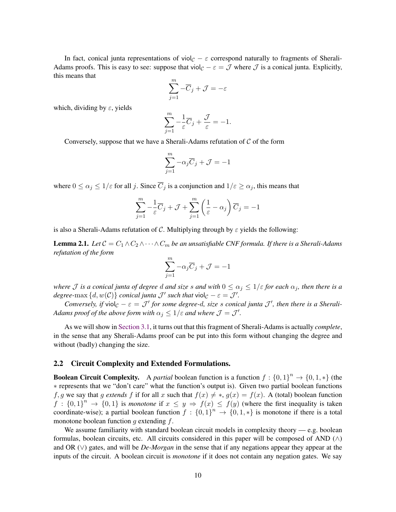In fact, conical junta representations of viol $\mathcal{C} - \varepsilon$  correspond naturally to fragments of Sherali-Adams proofs. This is easy to see: suppose that viol $\mathcal{C} - \mathcal{E} = \mathcal{J}$  where  $\mathcal{J}$  is a conical junta. Explicitly, this means that

$$
\sum_{j=1}^{m} -\overline{C}_{j} + \mathcal{J} = -\varepsilon
$$

which, dividing by  $\varepsilon$ , yields

$$
\sum_{j=1}^{m} -\frac{1}{\varepsilon}\overline{C}_j + \frac{\mathcal{J}}{\varepsilon} = -1.
$$

Conversely, suppose that we have a Sherali-Adams refutation of  $C$  of the form

$$
\sum_{j=1}^{m} -\alpha_j \overline{C}_j + \mathcal{J} = -1
$$

where  $0 \le \alpha_j \le 1/\varepsilon$  for all j. Since  $\overline{C}_j$  is a conjunction and  $1/\varepsilon \ge \alpha_j$ , this means that

$$
\sum_{j=1}^{m} -\frac{1}{\varepsilon}\overline{C}_j + \mathcal{J} + \sum_{j=1}^{m} \left(\frac{1}{\varepsilon} - \alpha_j\right)\overline{C}_j = -1
$$

is also a Sherali-Adams refutation of C. Multiplying through by  $\varepsilon$  yields the following:

<span id="page-10-0"></span>**Lemma 2.1.** *Let*  $C = C_1 \wedge C_2 \wedge \cdots \wedge C_m$  *be an unsatisfiable CNF formula. If there is a Sherali-Adams refutation of the form*

$$
\sum_{j=1}^m -\alpha_j \overline{C}_j + \mathcal{J} = -1
$$

*where J is a conical junta of degree d and size s and with*  $0 \leq \alpha_j \leq 1/\varepsilon$  *for each*  $\alpha_j$ *, then there is a degree-* $\max \{ d, w(C) \}$  *conical junta*  $\mathcal{J}'$  *such that*  $\text{viol}_{\mathcal{C}} - \varepsilon = \mathcal{J}'$ .

*Conversely, if* viol<sub>C</sub>  $-\varepsilon = \mathcal{J}'$  for some degree-d, size s conical junta  $\mathcal{J}'$ , then there is a Sherali-*Adams proof of the above form with*  $\alpha_j \leq 1/\varepsilon$  *and where*  $\mathcal{J} = \mathcal{J}'$ *.* 

As we will show in [Section 3.1,](#page-12-1) it turns out that this fragment of Sherali-Adams is actually *complete*, in the sense that any Sherali-Adams proof can be put into this form without changing the degree and without (badly) changing the size.

#### 2.2 Circuit Complexity and Extended Formulations.

**Boolean Circuit Complexity.** A *partial* boolean function is a function  $f: \{0, 1\}^n \to \{0, 1, *\}$  (the ∗ represents that we "don't care" what the function's output is). Given two partial boolean functions f, g we say that g extends f if for all x such that  $f(x) \neq *, g(x) = f(x)$ . A (total) boolean function  $f: \{0,1\}^n \to \{0,1\}$  is *monotone* if  $x \leq y \Rightarrow f(x) \leq f(y)$  (where the first inequality is taken coordinate-wise); a partial boolean function  $f : \{0,1\}^n \to \{0,1,*\}$  is monotone if there is a total monotone boolean function q extending  $f$ .

We assume familiarity with standard boolean circuit models in complexity theory  $-e.g.$  boolean formulas, boolean circuits, etc. All circuits considered in this paper will be composed of AND  $(∧)$ and OR (∨) gates, and will be *De-Morgan* in the sense that if any negations appear they appear at the inputs of the circuit. A boolean circuit is *monotone* if it does not contain any negation gates. We say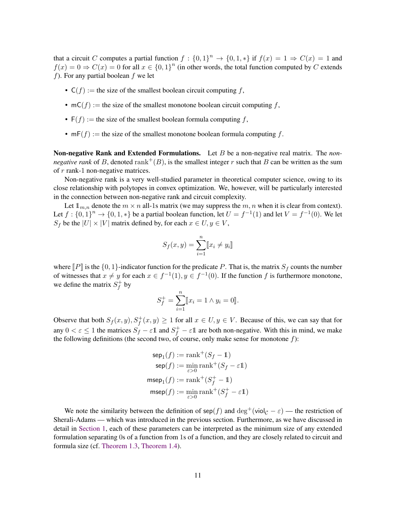that a circuit C computes a partial function  $f: \{0,1\}^n \to \{0,1,*\}$  if  $f(x) = 1 \Rightarrow C(x) = 1$  and  $f(x) = 0 \Rightarrow C(x) = 0$  for all  $x \in \{0, 1\}^n$  (in other words, the total function computed by C extends f). For any partial boolean  $f$  we let

- $C(f) :=$  the size of the smallest boolean circuit computing f,
- $mC(f) :=$  the size of the smallest monotone boolean circuit computing f,
- $F(f) :=$  the size of the smallest boolean formula computing f,
- $mF(f) :=$  the size of the smallest monotone boolean formula computing f.

Non-negative Rank and Extended Formulations. Let B be a non-negative real matrix. The *nonnegative rank* of B, denoted rank<sup>+</sup> $(B)$ , is the smallest integer r such that B can be written as the sum of r rank-1 non-negative matrices.

Non-negative rank is a very well-studied parameter in theoretical computer science, owing to its close relationship with polytopes in convex optimization. We, however, will be particularly interested in the connection between non-negative rank and circuit complexity.

Let  $\mathbb{1}_{m,n}$  denote the  $m \times n$  all-1s matrix (we may suppress the  $m, n$  when it is clear from context). Let  $f: \{0, 1\}^n \to \{0, 1, *\}$  be a partial boolean function, let  $U = f^{-1}(1)$  and let  $V = f^{-1}(0)$ . We let  $S_f$  be the  $|U| \times |V|$  matrix defined by, for each  $x \in U, y \in V$ ,

$$
S_f(x, y) = \sum_{i=1}^{n} [x_i \neq y_i]
$$

where  $\llbracket P \rrbracket$  is the {0, 1}-indicator function for the predicate P. That is, the matrix  $S_f$  counts the number of witnesses that  $x \neq y$  for each  $x \in f^{-1}(1)$ ,  $y \in f^{-1}(0)$ . If the function f is furthermore monotone, we define the matrix  $S_f^+$  $f^+$  by

$$
S_f^+ = \sum_{i=1}^n [x_i = 1 \land y_i = 0].
$$

Observe that both  $S_f(x, y), S_f^+(x, y) \ge 1$  for all  $x \in U, y \in V$ . Because of this, we can say that for any  $0 < \varepsilon \le 1$  the matrices  $S_f - \varepsilon \mathbb{1}$  and  $S_f^+ - \varepsilon \mathbb{1}$  are both non-negative. With this in mind, we make the following definitions (the second two, of course, only make sense for monotone  $f$ ):

$$
\begin{aligned} \text{sep}_1(f) &:= \text{rank}^+(S_f - 1) \\ \text{sep}(f) &:= \min_{\varepsilon > 0} \text{rank}^+(S_f - \varepsilon 1) \\ \text{msep}_1(f) &:= \text{rank}^+(S_f^+ - 1) \\ \text{msep}(f) &:= \min_{\varepsilon > 0} \text{rank}^+(S_f^+ - \varepsilon 1) \end{aligned}
$$

We note the similarity between the definition of sep(f) and  $\deg^+($ viol $c - \varepsilon)$  — the restriction of Sherali-Adams — which was introduced in the previous section. Furthermore, as we have discussed in detail in [Section 1,](#page-1-1) each of these parameters can be interpreted as the minimum size of any extended formulation separating 0s of a function from 1s of a function, and they are closely related to circuit and formula size (cf. [Theorem 1.3,](#page-3-1) [Theorem 1.4\)](#page-4-0).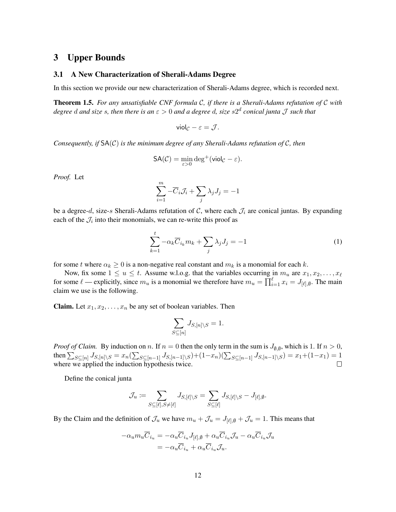### <span id="page-12-0"></span>3 Upper Bounds

#### <span id="page-12-1"></span>3.1 A New Characterization of Sherali-Adams Degree

In this section we provide our new characterization of Sherali-Adams degree, which is recorded next.

Theorem 1.5. *For any unsatisfiable CNF formula* C*, if there is a Sherali-Adams refutation of* C *with degree* d *and size* s*, then there is an* ε > 0 *and a degree* d*, size* s2 d *conical junta* J *such that*

$$
\mathsf{viol}_{\mathcal{C}} - \varepsilon = \mathcal{J}.
$$

*Consequently, if* SA(C) *is the minimum degree of any Sherali-Adams refutation of* C*, then*

$$
\mathsf{SA}(\mathcal{C}) = \min_{\varepsilon > 0} \deg^+(\mathsf{viol}_{\mathcal{C}} - \varepsilon).
$$

*Proof.* Let

$$
\sum_{i=1}^{m} -\overline{C}_{i} \mathcal{J}_{i} + \sum_{j} \lambda_{j} J_{j} = -1
$$

be a degree-d, size-s Sherali-Adams refutation of C, where each  $\mathcal{J}_i$  are conical juntas. By expanding each of the  $\mathcal{J}_i$  into their monomials, we can re-write this proof as

<span id="page-12-2"></span>
$$
\sum_{k=1}^{t} -\alpha_k \overline{C}_{i_k} m_k + \sum_j \lambda_j J_j = -1
$$
\n(1)

for some t where  $\alpha_k \geq 0$  is a non-negative real constant and  $m_k$  is a monomial for each k.

Now, fix some  $1 \le u \le t$ . Assume w.l.o.g. that the variables occurring in  $m_u$  are  $x_1, x_2, \ldots, x_\ell$ for some  $\ell$  — explicitly, since  $m_u$  is a monomial we therefore have  $m_u = \prod_{i=1}^{\ell} x_i = J_{[\ell],\emptyset}$ . The main claim we use is the following.

**Claim.** Let  $x_1, x_2, \ldots, x_n$  be any set of boolean variables. Then

$$
\sum_{S \subseteq [n]} J_{S, [n] \setminus S} = 1.
$$

*Proof of Claim.* By induction on n. If  $n = 0$  then the only term in the sum is  $J_{\emptyset,\emptyset}$ , which is 1. If  $n > 0$ , then  $\sum_{S \subseteq [n]} J_{S,[n] \setminus S} = x_n (\sum_{S \subseteq [n-1]} J_{S,[n-1] \setminus S}) + (1-x_n) (\sum_{S \subseteq [n-1]} J_{S,[n-1] \setminus S}) = x_1 + (1-x_1) = 1$ where we applied the induction hypothesis twice. П

Define the conical junta

$$
\mathcal{J}_u \coloneqq \sum_{S \subseteq [\ell], S \neq [\ell]} J_{S, [\ell] \setminus S} = \sum_{S \subseteq [\ell]} J_{S, [\ell] \setminus S} - J_{[\ell], \emptyset}.
$$

By the Claim and the definition of  $\mathcal{J}_u$  we have  $m_u + \mathcal{J}_u = J_{[\ell],\emptyset} + \mathcal{J}_u = 1$ . This means that

$$
-\alpha_u m_u \overline{C}_{i_u} = -\alpha_u \overline{C}_{i_u} J_{[\ell],\emptyset} + \alpha_u \overline{C}_{i_u} \mathcal{J}_u - \alpha_u \overline{C}_{i_u} \mathcal{J}_u
$$

$$
= -\alpha_u \overline{C}_{i_u} + \alpha_u \overline{C}_{i_u} \mathcal{J}_u.
$$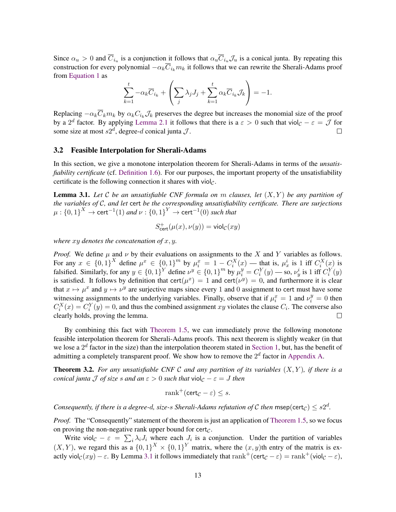Since  $\alpha_u > 0$  and  $\overline{C}_{i_u}$  is a conjunction it follows that  $\alpha_u \overline{C}_{i_u} \mathcal{J}_u$  is a conical junta. By repeating this construction for every polynomial  $-\alpha_k \overline{C}_{i_k} m_k$  it follows that we can rewrite the Sherali-Adams proof from [Equation 1](#page-12-2) as

$$
\sum_{k=1}^{t} -\alpha_k \overline{C}_{i_k} + \left(\sum_j \lambda_j J_j + \sum_{k=1}^{t} \alpha_k \overline{C}_{i_k} \mathcal{J}_k\right) = -1.
$$

Replacing  $-\alpha_k \overline{C}_k m_k$  by  $\alpha_k C_{i_k} \mathcal{J}_k$  preserves the degree but increases the monomial size of the proof by a 2<sup>d</sup> factor. By applying [Lemma 2.1](#page-10-0) it follows that there is a  $\varepsilon > 0$  such that viol $c - \varepsilon = \mathcal{J}$  for some size at most  $s2^d$ , degree-d conical junta  $J$ .  $\Box$ 

#### 3.2 Feasible Interpolation for Sherali-Adams

In this section, we give a monotone interpolation theorem for Sherali-Adams in terms of the *unsatisfiability certificate* (cf. [Definition 1.6\)](#page-6-1). For our purposes, the important property of the unsatisfiability certificate is the following connection it shares with viol $<sub>c</sub>$ .</sub>

<span id="page-13-0"></span>Lemma 3.1. *Let* C *be an unsatisfiable CNF formula on* m *clauses, let* (X, Y ) *be any partition of the variables of* C*, and let* cert *be the corresponding unsatisfiability certificate. There are surjections*  $\mu: \left\{0,1\right\}^X \to \mathsf{cert}^{-1}(1)$  and  $\nu: \left\{0,1\right\}^Y \to \mathsf{cert}^{-1}(0)$  such that

$$
S^+_{\text{cert}}(\mu(x), \nu(y)) = \text{viol}_{\mathcal{C}}(xy)
$$

*where* xy *denotes the concatenation of* x, y*.*

*Proof.* We define  $\mu$  and  $\nu$  by their evaluations on assignments to the X and Y variables as follows. For any  $x \in \{0,1\}^X$  define  $\mu^x \in \{0,1\}^m$  by  $\mu_i^x = 1 - C_i^X(x)$  — that is,  $\mu_x^i$  is 1 iff  $C_i^X(x)$  is falsified. Similarly, for any  $y \in \{0,1\}^Y$  define  $\nu^y \in \{0,1\}^m$  by  $\mu_i^y = C_i^Y(y)$  — so,  $\nu_y^i$  is 1 iff  $C_i^Y(y)$ is satisfied. It follows by definition that cert $(\mu^x) = 1$  and cert $(\nu^y) = 0$ , and furthermore it is clear that  $x \mapsto \mu^x$  and  $y \mapsto \nu^y$  are surjective maps since every 1 and 0 assignment to cert must have some witnessing assignments to the underlying variables. Finally, observe that if  $\mu_i^x = 1$  and  $\nu_i^y = 0$  then  $C_i^X(x) = C_i^Y(y) = 0$ , and thus the combined assignment xy violates the clause  $C_i$ . The converse also clearly holds, proving the lemma.  $\Box$ 

By combining this fact with [Theorem 1.5,](#page-5-0) we can immediately prove the following monotone feasible interpolation theorem for Sherali-Adams proofs. This next theorem is slightly weaker (in that we lose a  $2^d$  factor in the size) than the interpolation theorem stated in [Section 1,](#page-1-1) but, has the benefit of admitting a completely transparent proof. We show how to remove the  $2^d$  factor in [Appendix A.](#page-20-0)

<span id="page-13-1"></span>Theorem 3.2. *For any unsatisfiable CNF* C *and any partition of its variables* (X, Y )*, if there is a conical junta* J *of size* s and an  $\varepsilon > 0$  such that viol<sub>C</sub>  $-\varepsilon = J$  then

$$
\operatorname{rank}^+(\operatorname{cert}_{\mathcal{C}} - \varepsilon) \le s.
$$

*Consequently, if there is a degree-d, size-s Sherali-Adams refutation of C then msep(cert<sub>C</sub>)*  $\leq s2^d$ *.* 

*Proof.* The "Consequently" statement of the theorem is just an application of [Theorem 1.5,](#page-5-0) so we focus on proving the non-negative rank upper bound for cert $<sub>C</sub>$ .</sub>

Write viol $c - \varepsilon = \sum_i \lambda_i J_i$  where each  $J_i$  is a conjunction. Under the partition of variables  $(X, Y)$ , we regard this as a  $\{0, 1\}^X \times \{0, 1\}^Y$  matrix, where the  $(x, y)$ th entry of the matrix is exactly viol $_{\mathcal{C}}(xy) - \varepsilon$ . By Lemma [3.1](#page-13-0) it follows immediately that rank<sup>+</sup>(cert<sub> $\mathcal{C} - \varepsilon$ ) = rank<sup>+</sup>(viol<sub> $\mathcal{C} - \varepsilon$ ),</sub></sub>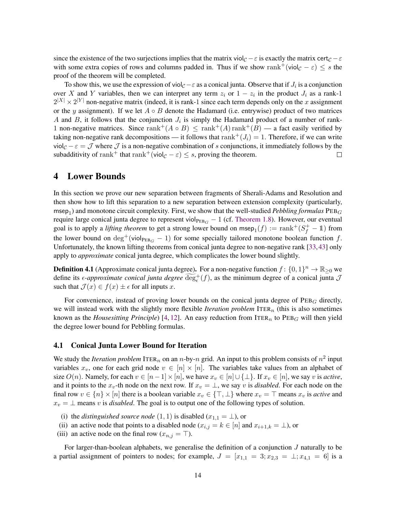since the existence of the two surjections implies that the matrix viol $c - \varepsilon$  is exactly the matrix cert $c - \varepsilon$ with some extra copies of rows and columns padded in. Thus if we show rank<sup>+</sup>(viol<sub>C</sub> –  $\varepsilon$ )  $\leq s$  the proof of the theorem will be completed.

To show this, we use the expression of viol $c - \varepsilon$  as a conical junta. Observe that if  $J_i$  is a conjunction over X and Y variables, then we can interpret any term  $z_i$  or  $1 - z_i$  in the product  $J_i$  as a rank-1  $2^{|X|} \times 2^{|Y|}$  non-negative matrix (indeed, it is rank-1 since each term depends only on the x assignment or the y assignment). If we let  $A \circ B$  denote the Hadamard (i.e. entrywise) product of two matrices A and B, it follows that the conjunction  $J_i$  is simply the Hadamard product of a number of rank-1 non-negative matrices. Since rank<sup>+</sup>( $A \circ B$ )  $\leq$  rank<sup>+</sup>( $A$ ) rank<sup>+</sup>( $B$ ) — a fact easily verified by taking non-negative rank decompositions — it follows that rank<sup>+</sup>( $J_i$ ) = 1. Therefore, if we can write viol<sub>C</sub> –  $\varepsilon = \mathcal{J}$  where  $\mathcal{J}$  is a non-negative combination of s conjunctions, it immediately follows by the subadditivity of rank<sup>+</sup> that rank<sup>+</sup>(viol<sub> $C - \varepsilon$ )  $\leq$  s, proving the theorem.</sub>  $\Box$ 

### <span id="page-14-0"></span>4 Lower Bounds

In this section we prove our new separation between fragments of Sherali-Adams and Resolution and then show how to lift this separation to a new separation between extension complexity (particularly,  $m$ sep<sub>1</sub>) and monotone circuit complexity. First, we show that the well-studied *Pebbling formulas*  $PEB$ <sub>*G*</sub> require large conical junta degree to represent viol $_{\text{PEB}_G}$  – 1 (cf. [Theorem 1.8\)](#page-7-0). However, our eventual goal is to apply a *lifting theorem* to get a strong lower bound on msep<sub>1</sub> $(f) := \text{rank}^+(S_f^+ - 1)$  from the lower bound on  $\deg^+(\text{viol}_{\text{PEB}_G} - 1)$  for some specially tailored monotone boolean function f. Unfortunately, the known lifting theorems from conical junta degree to non-negative rank [\[33,](#page-28-4)[43\]](#page-29-5) only apply to *approximate* conical junta degree, which complicates the lower bound slightly.

**Definition 4.1** (Approximate conical junta degree). For a non-negative function  $f: \{0, 1\}^n \to \mathbb{R}_{\geq 0}$  we define its  $\epsilon$ -*approximate conical junta degree*  $\widetilde{\deg}_{\epsilon}^{+}(f)$ , as the minimum degree of a conical junta  $\mathcal{J}$ such that  $\mathcal{J}(x) \in f(x) \pm \epsilon$  for all inputs x.

For convenience, instead of proving lower bounds on the conical junta degree of  $PEB<sub>G</sub>$  directly, we will instead work with the slightly more flexible *Iteration problem* ITER<sub>n</sub> (this is also sometimes known as the *Housesitting Principle*) [\[4,](#page-26-9) [12\]](#page-27-11). An easy reduction from ITER<sub>n</sub> to  $PEB<sub>G</sub>$  will then yield the degree lower bound for Pebbling formulas.

### 4.1 Conical Junta Lower Bound for Iteration

We study the *Iteration problem* ITER<sub>n</sub> on an n-by-n grid. An input to this problem consists of  $n^2$  input variables  $x_v$ , one for each grid node  $v \in [n] \times [n]$ . The variables take values from an alphabet of size  $O(n)$ . Namely, for each  $v \in [n-1] \times [n]$ , we have  $x_v \in [n] \cup \{\perp\}$ . If  $x_v \in [n]$ , we say v is *active*, and it points to the  $x_v$ -th node on the next row. If  $x_v = \perp$ , we say v is *disabled*. For each node on the final row  $v \in \{n\} \times [n]$  there is a boolean variable  $x_v \in \{\top, \bot\}$  where  $x_v = \top$  means  $x_v$  is *active* and  $x_v = \perp$  means v is *disabled*. The goal is to output one of the following types of solution.

- (i) the *distinguished source node*  $(1, 1)$  is disabled  $(x_{1,1} = \bot)$ , or
- (ii) an active node that points to a disabled node ( $x_{i,j} = k \in [n]$  and  $x_{i+1,k} = \perp$ ), or
- (iii) an active node on the final row  $(x_{n,j} = \top)$ .

For larger-than-boolean alphabets, we generalise the definition of a conjunction J naturally to be a partial assignment of pointers to nodes; for example,  $J = [x_{1,1} = 3; x_{2,3} = \perp; x_{4,1} = 6]$  is a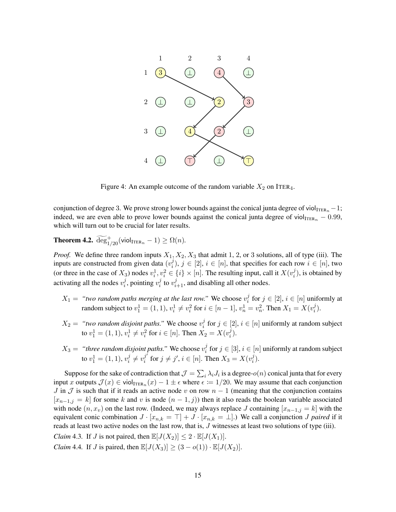

Figure 4: An example outcome of the random variable  $X_2$  on ITER<sub>4</sub>.

conjunction of degree 3. We prove strong lower bounds against the conical junta degree of viol $_{\text{ITER}_n} - 1$ ; indeed, we are even able to prove lower bounds against the conical junta degree of viol $_{\text{ITER}_n}$  – 0.99, which will turn out to be crucial for later results.

<span id="page-15-2"></span>**Theorem 4.2.**  $\widetilde{\text{deg}}_{1/20}^+(\text{viol}_{\text{ITER}_n} - 1) \ge \Omega(n)$ .

*Proof.* We define three random inputs  $X_1, X_2, X_3$  that admit 1, 2, or 3 solutions, all of type (iii). The inputs are constructed from given data  $(v_i^j)$  $i,j$ ,  $j \in [2]$ ,  $i \in [n]$ , that specifies for each row  $i \in [n]$ , two (or three in the case of  $X_3$ ) nodes  $v_i^1, v_i^2 \in \{i\} \times [n]$ . The resulting input, call it  $X(v_i^j)$  $i_j^j$ ), is obtained by activating all the nodes  $v_i^j$  $i$ , pointing  $v_i^j$  $i$  to  $v_{i+1}^j$ , and disabling all other nodes.

- $X_1 =$  "two random paths merging at the last row." We choose  $v_i^j$  $i<sup>j</sup>$  for  $j \in [2]$ ,  $i \in [n]$  uniformly at random subject to  $v_1^1 = (1, 1), v_i^1 \neq v_i^2$  for  $i \in [n-1], v_n^1 = v_n^2$ . Then  $X_1 = X(v_i^j)$  $\binom{j}{i}$ .
- $X_2 =$  "two random disjoint paths." We choose  $v_i^j$  $i<sup>j</sup>$  for  $j \in [2]$ ,  $i \in [n]$  uniformly at random subject to  $v_1^1 = (1, 1), v_i^1 \neq v_i^2$  for  $i \in [n]$ . Then  $X_2 = X(v_i^j)$  $\binom{j}{i}$ .
- $X_3 =$  "three random disjoint paths." We choose  $v_i^j$  $i$  for  $j \in [3], i \in [n]$  uniformly at random subject to  $v_1^1 = (1, 1), v_i^j$  $i^j \neq v_i^{j'}$  $j'_{i}$  for  $j \neq j'$ ,  $i \in [n]$ . Then  $X_3 = X(v_i^j)$  $\binom{j}{i}$ .

Suppose for the sake of contradiction that  $\mathcal{J} = \sum_i \lambda_i J_i$  is a degree- $o(n)$  conical junta that for every input x outputs  $\mathcal{J}(x) \in \text{viol}_{\text{ITER}_n}(x) - 1 \pm \epsilon$  where  $\epsilon \coloneqq 1/20$ . We may assume that each conjunction J in  $\mathcal J$  is such that if it reads an active node v on row  $n-1$  (meaning that the conjunction contains  $[x_{n-1,j} = k]$  for some k and v is node  $(n-1,j)$ ) then it also reads the boolean variable associated with node  $(n, x_v)$  on the last row. (Indeed, we may always replace J containing  $[x_{n-1,j} = k]$  with the equivalent conic combination  $J \cdot [x_{n,k} = \top] + J \cdot [x_{n,k} = \bot]$ .) We call a conjunction *J paired* if it reads at least two active nodes on the last row, that is, J witnesses at least two solutions of type (iii).

<span id="page-15-0"></span>*Claim* 4.3. If *J* is not paired, then  $\mathbb{E}[J(X_2)] \leq 2 \cdot \mathbb{E}[J(X_1)]$ .

<span id="page-15-1"></span>*Claim* 4.4. If *J* is paired, then  $\mathbb{E}[J(X_3)] \geq (3 - o(1)) \cdot \mathbb{E}[J(X_2)].$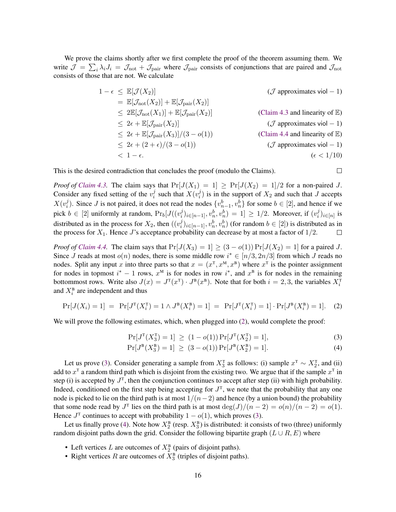We prove the claims shortly after we first complete the proof of the theorem assuming them. We write  $\mathcal{J} = \sum_i \lambda_i J_i = \mathcal{J}_{\text{not}} + \mathcal{J}_{\text{pair}}$  where  $\mathcal{J}_{\text{pair}}$  consists of conjunctions that are paired and  $\mathcal{J}_{\text{not}}$ consists of those that are not. We calculate

$$
1 - \epsilon \leq \mathbb{E}[\mathcal{J}(X_2)] \qquad (\mathcal{J} \text{ approximates } \text{viol}-1)
$$
  
\n
$$
= \mathbb{E}[\mathcal{J}_{\text{not}}(X_2)] + \mathbb{E}[\mathcal{J}_{\text{pair}}(X_2)]
$$
  
\n
$$
\leq 2\mathbb{E}[\mathcal{J}_{\text{not}}(X_1)] + \mathbb{E}[\mathcal{J}_{\text{pair}}(X_2)] \qquad (\text{Claim 4.3 and linearity of } \mathbb{E})
$$
  
\n
$$
\leq 2\epsilon + \mathbb{E}[\mathcal{J}_{\text{pair}}(X_2)] \qquad (\mathcal{J} \text{ approximates } \text{viol}-1)
$$
  
\n
$$
\leq 2\epsilon + \mathbb{E}[\mathcal{J}_{\text{pair}}(X_3)]/(3 - o(1)) \qquad (\text{Claim 4.4 and linearity of } \mathbb{E})
$$
  
\n
$$
\leq 2\epsilon + (2 + \epsilon)/(3 - o(1)) \qquad (\mathcal{J} \text{ approximates } \text{viol}-1)
$$
  
\n
$$
< 1 - \epsilon.
$$

<span id="page-16-2"></span><span id="page-16-1"></span> $\Box$ 

This is the desired contradiction that concludes the proof (modulo the Claims).

*Proof of [Claim 4.3.](#page-15-0)* The claim says that  $Pr[J(X_1) = 1] \ge Pr[J(X_2) = 1]/2$  for a non-paired J. Consider any fixed setting of the  $v_i^j$  $i$  such that  $X(v_i^j)$  $i_j^j$ ) is in the support of  $X_2$  and such that J accepts  $X(v_i^j)$  $\{v_n^j\}$ . Since *J* is not paired, it does not read the nodes  $\{v_{n-1}^b, v_n^b\}$  for some *b* ∈ [2], and hence if we pick  $b \in [2]$  uniformly at random,  $Pr_b[J((v_i^j$  $\{(\dot{y}_i^j)_{i \in [n-1]}, v_n^b, v_n^b) = 1] ≥ 1/2$ . Moreover, if  $(v_i^j)$  $_i^j)_{i \in [n]}$  is distributed as in the process for  $X_2$ , then  $((v_i^j)$  $\{(\phi_i^j)_{i\in[n-1]}, v_n^b, v_n^b)$  (for random  $b \in [2]$ ) is distributed as in the process for  $X_1$ . Hence J's acceptance probability can decrease by at most a factor of  $1/2$ .  $\Box$ 

*Proof of [Claim 4.4.](#page-15-1)* The claim says that  $Pr[J(X_3) = 1] \ge (3 - o(1)) Pr[J(X_2) = 1]$  for a paired J. Since J reads at most  $o(n)$  nodes, there is some middle row  $i^* \in [n/3, 2n/3]$  from which J reads no nodes. Split any input x into three parts so that  $x = (x^{\text{T}}, x^{\text{M}}, x^{\text{B}})$  where  $x^{\text{T}}$  is the pointer assignment for nodes in topmost  $i^* - 1$  rows,  $x^M$  is for nodes in row  $i^*$ , and  $x^B$  is for nodes in the remaining bottommost rows. Write also  $J(x) = J^T(x^T) \cdot J^B(x^B)$ . Note that for both  $i = 2, 3$ , the variables  $X_i^T$ and  $X_i^{\text{B}}$  are independent and thus

<span id="page-16-0"></span>
$$
Pr[J(X_i) = 1] = Pr[J^T(X_i^T) = 1 \land J^B(X_i^B) = 1] = Pr[J^T(X_i^T) = 1] \cdot Pr[J^B(X_i^B) = 1].
$$
 (2)

We will prove the following estimates, which, when plugged into  $(2)$ , would complete the proof:

$$
\Pr[J^{\mathrm{T}}(X_3^{\mathrm{T}}) = 1] \ge (1 - o(1)) \Pr[J^{\mathrm{T}}(X_2^{\mathrm{T}}) = 1],\tag{3}
$$

$$
Pr[J^{B}(X_3^{B}) = 1] \ge (3 - o(1)) Pr[J^{B}(X_2^{B}) = 1].
$$
 (4)

Let us prove [\(3\)](#page-16-1). Consider generating a sample from  $X_3^T$  as follows: (i) sample  $x^T \sim X_2^T$ , and (ii) add to  $x^{\text{T}}$  a random third path which is disjoint from the existing two. We argue that if the sample  $x^{\text{T}}$  in step (i) is accepted by  $J<sup>T</sup>$ , then the conjunction continues to accept after step (ii) with high probability. Indeed, conditioned on the first step being accepting for  $J^T$ , we note that the probability that any one node is picked to lie on the third path is at most  $1/(n-2)$  and hence (by a union bound) the probability that some node read by  $J^T$  lies on the third path is at most  $\deg(J)/(n-2) = o(n)/(n-2) = o(1)$ . Hence  $J^T$  continues to accept with probability  $1 - o(1)$ , which proves [\(3\)](#page-16-1).

Let us finally prove [\(4\)](#page-16-2). Note how  $X_2^{\text{B}}$  (resp.  $X_3^{\text{B}}$ ) is distributed: it consists of two (three) uniformly random disjoint paths down the grid. Consider the following bipartite graph  $(L \cup R, E)$  where

- Left vertices L are outcomes of  $X_2^B$  (pairs of disjoint paths).
- Right vertices R are outcomes of  $X_3^B$  (triples of disjoint paths).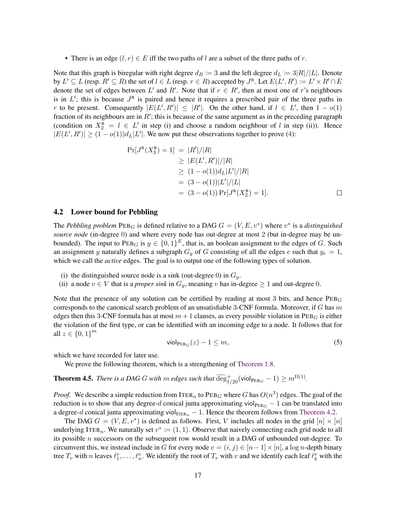• There is an edge  $(l, r) \in E$  iff the two paths of l are a subset of the three paths of r.

Note that this graph is biregular with right degree  $d_R := 3$  and the left degree  $d_L := 3|R|/|L|$ . Denote by  $L' \subseteq L$  (resp.  $R' \subseteq R$ ) the set of  $l \in L$  (resp.  $r \in R$ ) accepted by  $J^B$ . Let  $E(L', R') := L' \times R' \cap E$ denote the set of edges between L' and R'. Note that if  $r \in R'$ , then at most one of r's neighbours is in  $L'$ ; this is because  $J^B$  is paired and hence it requires a prescribed pair of the three paths in r to be present. Consequently  $|E(L', R')| \leq |R'|$ . On the other hand, if  $l \in L'$ , then  $1 - o(1)$ fraction of its neighbours are in  $R'$ ; this is because of the same argument as in the preceding paragraph (condition on  $X_2^B = l \in L'$  in step (i) and choose a random neighbour of l in step (ii)). Hence  $|E(L', R')| \ge (1 - o(1))d_L|L'|$ . We now put these observations together to prove [\(4\)](#page-16-2):

$$
Pr[J^{B}(X_{3}^{B}) = 1] = |R'|/|R|
$$
  
\n
$$
\geq |E(L', R')|/|R|
$$
  
\n
$$
\geq (1 - o(1))d_{L}|L'|/|R|
$$
  
\n
$$
= (3 - o(1))|L'|/|L|
$$
  
\n
$$
= (3 - o(1)) Pr[J^{B}(X_{2}^{B}) = 1].
$$

### <span id="page-17-0"></span>4.2 Lower bound for Pebbling

The *Pebbling problem*  $\text{PEB}_G$  is defined relative to a DAG  $G = (V, E, v^*)$  where  $v^*$  is a *distinguished source node* (in-degree 0) and where every node has out-degree at most 2 (but in-degree may be unbounded). The input to  $PEB_G$  is  $y \in \{0,1\}^E$ , that is, an boolean assignment to the edges of G. Such an assignment y naturally defines a subgraph  $G_y$  of G consisting of all the edges e such that  $y_e = 1$ , which we call the *active* edges. The goal is to output one of the following types of solution.

- (i) the distinguished source node is a sink (out-degree 0) in  $G_y$ .
- (ii) a node  $v \in V$  that is a *proper sink* in  $G_y$ , meaning v has in-degree  $\geq 1$  and out-degree 0.

Note that the presence of any solution can be certified by reading at most 3 bits, and hence  $PEB<sub>G</sub>$ corresponds to the canonical search problem of an unsatisfiable 3-CNF formula. Moreover, if G has  $m$ edges then this 3-CNF formula has at most  $m + 1$  clauses, as every possible violation in  $PEB<sub>G</sub>$  is either the violation of the first type, or can be identified with an incoming edge to a node. It follows that for all  $z \in \{0, 1\}^m$ 

<span id="page-17-2"></span>
$$
\mathsf{viol}_{\mathsf{PEB}_G}(z) - 1 \le m,\tag{5}
$$

which we have recorded for later use.

We prove the following theorem, which is a strengthening of [Theorem 1.8.](#page-7-0)

<span id="page-17-1"></span>**Theorem 4.5.** *There is a DAG G with m edges such that*  $\widetilde{\text{deg}}_{1/20}^+($  viol $_{\text{PEB}_G} - 1) \geq m^{\Omega(1)}$ .

*Proof.* We describe a simple reduction from ITER<sub>n</sub> to PEB<sub>G</sub> where G has  $O(n^3)$  edges. The goal of the reduction is to show that any degree-d conical junta approximating viol<sub>PEBG</sub> − 1 can be translated into a degree-d conical junta approximating viol $_{\text{ITER}_n} - 1$ . Hence the theorem follows from [Theorem 4.2.](#page-15-2)

The DAG  $G = (V, E, v^*)$  is defined as follows. First, V includes all nodes in the grid  $[n] \times [n]$ underlying ITER<sub>n</sub>. We naturally set  $v^* := (1, 1)$ . Observe that naively connecting each grid node to all its possible  $n$  successors on the subsequent row would result in a DAG of unbounded out-degree. To circumvent this, we instead include in G for every node  $v = (i, j) \in [n-1] \times [n]$ , a log n-depth binary tree  $T_v$  with n leaves  $\ell_1^v, \ldots, \ell_n^v$ . We identify the root of  $T_v$  with v and we identify each leaf  $\ell_k^v$  with the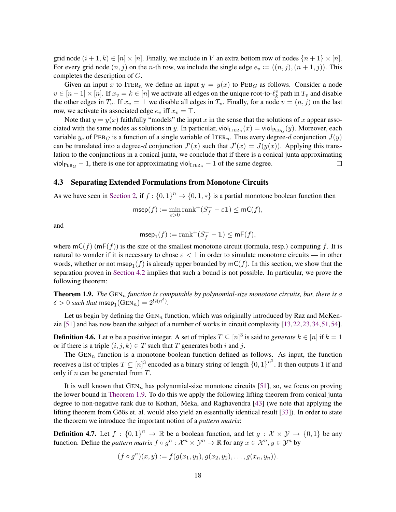grid node  $(i + 1, k) \in [n] \times [n]$ . Finally, we include in V an extra bottom row of nodes  $\{n+1\} \times [n]$ . For every grid node  $(n, j)$  on the *n*-th row, we include the single edge  $e_v := ((n, j), (n + 1, j))$ . This completes the description of G.

Given an input x to ITER<sub>n</sub> we define an input  $y = y(x)$  to PEB<sub>G</sub> as follows. Consider a node  $v \in [n-1] \times [n]$ . If  $x_v = k \in [n]$  we activate all edges on the unique root-to- $\ell_k^v$  path in  $T_v$  and disable the other edges in  $T_v$ . If  $x_v = \perp$  we disable all edges in  $T_v$ . Finally, for a node  $v = (n, j)$  on the last row, we activate its associated edge  $e_v$  iff  $x_v = \top$ .

Note that  $y = y(x)$  faithfully "models" the input x in the sense that the solutions of x appear associated with the same nodes as solutions in y. In particular, viol<sub>ITERn</sub>  $(x) =$  viol<sub>PEBG</sub> $(y)$ . Moreover, each variable  $y_e$  of PEB<sub>G</sub> is a function of a single variable of ITER<sub>n</sub>. Thus every degree-d conjunction  $J(y)$ can be translated into a degree-d conjunction  $J'(x)$  such that  $J'(x) = J(y(x))$ . Applying this translation to the conjunctions in a conical junta, we conclude that if there is a conical junta approximating viol $_{\text{PEB}_G}$  – 1, there is one for approximating viol<sub>ITERn</sub> – 1 of the same degree.  $\Box$ 

#### 4.3 Separating Extended Formulations from Monotone Circuits

As we have seen in [Section 2,](#page-8-0) if  $f: \{0,1\}^n \to \{0,1,*\}$  is a partial monotone boolean function then

$$
\mathsf{msep}(f) := \min_{\varepsilon > 0} \mathsf{rank}^+(S^+_f - \varepsilon \mathbb{1}) \leq \mathsf{mC}(f),
$$

and

$$
\mathrm{msep}_1(f) := \mathrm{rank}^+(S_f^+ - \mathbb{1}) \leq \mathsf{mF}(f),
$$

where  $mC(f)$  (mF(f)) is the size of the smallest monotone circuit (formula, resp.) computing f. It is natural to wonder if it is necessary to chose  $\varepsilon < 1$  in order to simulate monotone circuits — in other words, whether or not msep<sub>1</sub> $(f)$  is already upper bounded by mC $(f)$ . In this section, we show that the separation proven in [Section 4.2](#page-17-0) implies that such a bound is not possible. In particular, we prove the following theorem:

**Theorem 1.9.** *The*  $GEN_n$  *function is computable by polynomial-size monotone circuits, but, there is a*  $\delta > 0$  such that msep<sub>1</sub>(GEN<sub>n</sub>) =  $2^{\Omega(n^{\delta})}$ .

Let us begin by defining the  $GEN_n$  function, which was originally introduced by Raz and McKenzie [\[51\]](#page--1-4) and has now been the subject of a number of works in circuit complexity [\[13,](#page-27-12)[22,](#page-27-7)[23,](#page-27-8)[34,](#page-28-0)[51,](#page--1-4)[54\]](#page--1-8).

**Definition 4.6.** Let *n* be a positive integer. A set of triples  $T \subseteq [n]^3$  is said to *generate*  $k \in [n]$  if  $k = 1$ or if there is a triple  $(i, j, k) \in T$  such that T generates both i and j.

The  $GEN_n$  function is a monotone boolean function defined as follows. As input, the function receives a list of triples  $T \subseteq [n]^3$  encoded as a binary string of length  $\{0,1\}^{n^3}$ . It then outputs 1 if and only if  $n$  can be generated from  $T$ .

It is well known that  $GEN_n$  has polynomial-size monotone circuits [\[51\]](#page--1-4), so, we focus on proving the lower bound in [Theorem 1.9.](#page-7-1) To do this we apply the following lifting theorem from conical junta degree to non-negative rank due to Kothari, Meka, and Raghavendra [\[43\]](#page-29-5) (we note that applying the lifting theorem from Göös et. al. would also yield an essentially identical result [[33\]](#page-28-4)). In order to state the theorem we introduce the important notion of a *pattern matrix*:

**Definition 4.7.** Let  $f : \{0,1\}^n \to \mathbb{R}$  be a boolean function, and let  $g : \mathcal{X} \times \mathcal{Y} \to \{0,1\}$  be any function. Define the *pattern matrix*  $f \circ g^n : \mathcal{X}^n \times \mathcal{Y}^n \to \mathbb{R}$  for any  $x \in \mathcal{X}^n, y \in \mathcal{Y}^n$  by

$$
(f \circ g^n)(x, y) := f(g(x_1, y_1), g(x_2, y_2), \dots, g(x_n, y_n)).
$$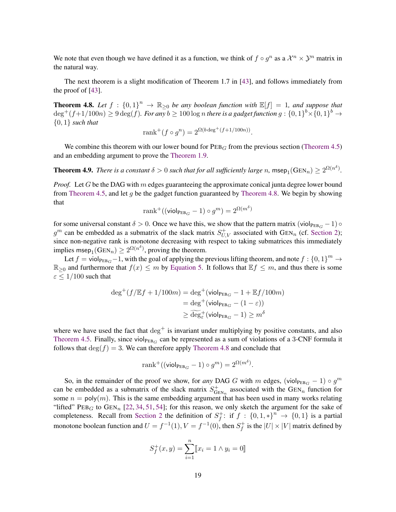We note that even though we have defined it as a function, we think of  $f \circ g^n$  as a  $\mathcal{X}^n \times \mathcal{Y}^n$  matrix in the natural way.

The next theorem is a slight modification of Theorem 1.7 in [\[43\]](#page-29-5), and follows immediately from the proof of [\[43\]](#page-29-5).

<span id="page-19-0"></span>**Theorem 4.8.** Let  $f : \{0,1\}^n \to \mathbb{R}_{\geq 0}$  be any boolean function with  $\mathbb{E}[f] = 1$ , and suppose that  $\deg^+(f+1/100n) \geq 9 \deg(f)$ . For any  $b \geq 100 \log n$  there is a gadget function  $g: \{0,1\}^b \times \{0,1\}^b \to$ {0, 1} *such that*

$$
rank^{+}(f \circ g^{n}) = 2^{\Omega(b \deg^{+}(f+1/100n))}.
$$

We combine this theorem with our lower bound for  $PEB<sub>G</sub>$  from the previous section [\(Theorem 4.5\)](#page-17-1) and an embedding argument to prove the [Theorem 1.9.](#page-7-1)

**Theorem 4.9.** *There is a constant*  $\delta > 0$  *such that for all sufficiently large* n, msep<sub>1</sub>(GEN<sub>n</sub>)  $\geq 2^{\Omega(n^{\delta})}$ .

*Proof.* Let G be the DAG with m edges guaranteeing the approximate conical junta degree lower bound from [Theorem 4.5,](#page-17-1) and let g be the gadget function guaranteed by [Theorem 4.8.](#page-19-0) We begin by showing that

$$
\operatorname{rank}^{+}((\operatorname{viol}_{\operatorname{PEB}_G} - 1) \circ g^m) = 2^{\Omega(m^{\delta})}
$$

for some universal constant  $\delta > 0$ . Once we have this, we show that the pattern matrix (viol $_{\text{PEB}_G}$  – 1)  $\circ$  $g^m$  can be embedded as a submatrix of the slack matrix  $S_{U,V}^+$  associated with GEN<sub>n</sub> (cf. [Section 2\)](#page-8-0); since non-negative rank is monotone decreasing with respect to taking submatrices this immediately implies msep<sub>1</sub>(GEN<sub>n</sub>)  $\geq 2^{\Omega(n^{\delta})}$ , proving the theorem.

Let  $f = \text{viol}_{\text{PEB}_G} - 1$ , with the goal of applying the previous lifting theorem, and note  $f : \{0, 1\}^m \to$  $\mathbb{R}_{\geq 0}$  and furthermore that  $f(x) \leq m$  by [Equation 5.](#page-17-2) It follows that  $\mathbb{E} f \leq m$ , and thus there is some  $\varepsilon \leq 1/100$  such that

$$
\begin{aligned} \deg^+(f/\mathbb{E}f + 1/100m) &= \deg^+(\mathsf{viol}_{\mathsf{PEB}_G} - 1 + \mathbb{E}f/100m) \\ &= \deg^+(\mathsf{viol}_{\mathsf{PEB}_G} - (1 - \varepsilon)) \\ &\ge \widetilde{\deg}^+(\mathsf{viol}_{\mathsf{PEB}_G} - 1) \ge m^\delta \end{aligned}
$$

where we have used the fact that  $\deg^+$  is invariant under multiplying by positive constants, and also [Theorem 4.5.](#page-17-1) Finally, since viol $_{\text{PEB}_G}$  can be represented as a sum of violations of a 3-CNF formula it follows that  $\deg(f) = 3$ . We can therefore apply [Theorem 4.8](#page-19-0) and conclude that

$$
rank^+((\mathsf{viol}_{\mathsf{PEB}_G} - 1) \circ g^m) = 2^{\Omega(m^\delta)}.
$$

So, in the remainder of the proof we show, for *any* DAG G with m edges, (viol<sub>PEBG</sub> – 1) ∘  $g<sup>m</sup>$ can be embedded as a submatrix of the slack matrix  $S_{\text{G}}^{+}$  $G_{\text{EN}_n}$  associated with the  $\text{GEN}_n$  function for some  $n = poly(m)$ . This is the same embedding argument that has been used in many works relating "lifted" PEB<sub>G</sub> to GEN<sub>n</sub> [\[22,](#page-27-7) [34,](#page-28-0) [51,](#page--1-4) [54\]](#page--1-8); for this reason, we only sketch the argument for the sake of completeness. Recall from [Section 2](#page-8-0) the definition of  $S<sub>f</sub><sup>+</sup>$  $f_f^{\dagger}$ : if  $f : \{0,1,*\}^n \to \{0,1\}$  is a partial monotone boolean function and  $U = f^{-1}(1)$ ,  $V = f^{-1}(0)$ , then  $S_f^+$  $f_f^+$  is the  $|U| \times |V|$  matrix defined by

$$
S_f^+(x, y) = \sum_{i=1}^n [x_i = 1 \land y_i = 0]
$$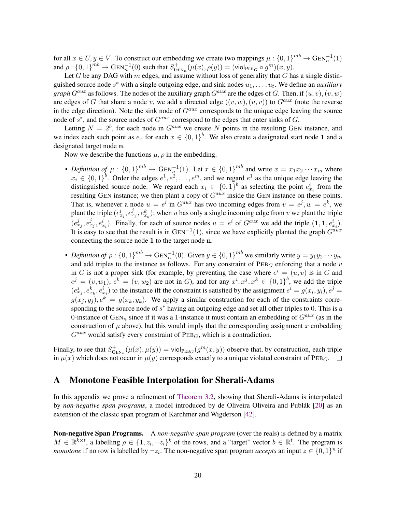for all  $x \in U, y \in V$ . To construct our embedding we create two mappings  $\mu: \{0,1\}^{mb} \to \text{GEN}_n^{-1}(1)$ and  $\rho: \{0,1\}^{mb} \to \operatorname{GEN}_n^{-1}(0)$  such that  $S^+_{\operatorname{Gl}}$  $\det_{\text{GEN}_n}^+(\mu(x), \rho(y)) = (\text{viol}_{\text{PEB}_G} \circ g^m)(x, y).$ 

Let G be any DAG with  $m$  edges, and assume without loss of generality that  $G$  has a single distinguished source node  $s^*$  with a single outgoing edge, and sink nodes  $u_1, \ldots, u_t$ . We define an *auxiliary graph*  $G^{aux}$  as follows. The nodes of the auxiliary graph  $G^{aux}$  are the edges of G. Then, if  $(u, v)$ ,  $(v, w)$ are edges of G that share a node v, we add a directed edge  $((v, w), (u, v))$  to  $G^{aux}$  (note the reverse in the edge direction). Note the sink node of  $G^{aux}$  corresponds to the unique edge leaving the source node of  $s^*$ , and the source nodes of  $G^{aux}$  correspond to the edges that enter sinks of  $G$ .

Letting  $N = 2^b$ , for each node in  $G^{aux}$  we create N points in the resulting GEN instance, and we index each such point as  $e_x$  for each  $x \in \{0,1\}^b$ . We also create a designated start node 1 and a designated target node n.

Now we describe the functions  $\mu$ ,  $\rho$  in the embedding.

- *Definition of*  $\mu$ :  $\{0,1\}^{mb} \to \text{GEN}_n^{-1}(1)$ . Let  $x \in \{0,1\}^{mb}$  and write  $x = x_1x_2\cdots x_m$  where  $x_i \in \{0,1\}^b$ . Order the edges  $e^1, e^2, \ldots, e^m$ , and we regard  $e^1$  as the unique edge leaving the distinguished source node. We regard each  $x_i \in \{0,1\}^b$  as selecting the point  $e_{x_i}^i$  from the resulting GEN instance; we then plant a copy of  $G^{aux}$  inside the GEN instance on these points. That is, whenever a node  $u = e^i$  in  $G^{aux}$  has two incoming edges from  $v = e^j$ ,  $w = e^k$ , we plant the triple  $(e_{x_i}^i, e_{x_j}^j, e_{x_k}^k)$ ; when u has only a single incoming edge from v we plant the triple  $(e_{x_j}^j, e_{x_j}^j, e_{x_i}^i)$ . Finally, for each of source nodes  $u = e^i$  of  $G^{aux}$  we add the triple  $(1, 1, e_{x_i}^i)$ . It is easy to see that the result is in  $GEN^{-1}(1)$ , since we have explicitly planted the graph  $G^{aux}$ connecting the source node 1 to the target node n.
- *Definition of*  $\rho: \{0,1\}^{mb} \to \operatorname{GEN}_n^{-1}(0)$ . Given  $y \in \{0,1\}^{mb}$  we similarly write  $y = y_1y_2 \cdots y_m$ and add triples to the instance as follows. For any constraint of  $PEB<sub>G</sub>$  enforcing that a node v in G is not a proper sink (for example, by preventing the case where  $e^i = (u, v)$  is in G and  $e^j = (v, w_1)$ ,  $e^{k} = (v, w_2)$  are not in G), and for any  $x^i, x^j, x^k \in \{0, 1\}^b$ , we add the triple  $(e_{x_j}^j, e_{x_k}^k, e_{x_i}^i)$  to the instance iff the constraint is satisfied by the assignment  $e^i = g(x_i, y_i)$ ,  $e^j =$  $g(x_i, y_i)$ ,  $e^k = g(x_k, y_k)$ . We apply a similar construction for each of the constraints corresponding to the source node of  $s^*$  having an outgoing edge and set all other triples to 0. This is a 0-instance of GEN<sub>n</sub> since if it was a 1-instance it must contain an embedding of  $G^{aux}$  (as in the construction of  $\mu$  above), but this would imply that the corresponding assignment x embedding  $G^{aux}$  would satisfy every constraint of  $PEB_G$ , which is a contradiction.

Finally, to see that  $S_{\text{G}}^{+}$  $\psi_{\text{GEN}_n}^+(\mu(x), \mu(y)) = \text{viol}_{\text{PEB}_G}(g^m(x, y))$  observe that, by construction, each triple in  $\mu(x)$  which does not occur in  $\mu(y)$  corresponds exactly to a unique violated constraint of PEB<sub>G</sub>.  $\Box$ 

# <span id="page-20-0"></span>A Monotone Feasible Interpolation for Sherali-Adams

In this appendix we prove a refinement of [Theorem 3.2,](#page-13-1) showing that Sherali-Adams is interpolated by *non-negative span programs*, a model introduced by de Oliveira Oliveira and Publák [[20\]](#page-27-9) as an extension of the classic span program of Karchmer and Wigderson [\[42\]](#page-29-12).

Non-negative Span Programs. A *non-negative span program* (over the reals) is defined by a matrix  $M \in \mathbb{R}^{k \times t}$ , a labelling  $\rho \in \{1, z_i, \neg z_i\}^k$  of the rows, and a "target" vector  $b \in \mathbb{R}^t$ . The program is *monotone* if no row is labelled by  $\neg z_i$ . The non-negative span program *accepts* an input  $z \in \{0,1\}^n$  if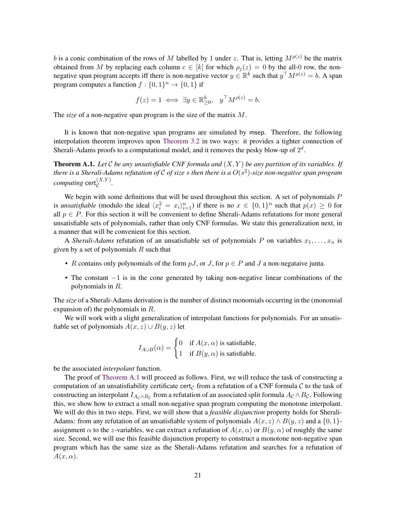b is a conic combination of the rows of M labelled by 1 under z. That is, letting  $M^{\rho(z)}$  be the matrix obtained from M by replacing each column  $c \in [k]$  for which  $\rho_i(z) = 0$  by the all-0 row, the nonnegative span program accepts iff there is non-negative vector  $y \in \mathbb{R}^k$  such that  $y^\top M^{\rho(z)} = b$ . A span program computes a function  $f: \{0, 1\}^n \to \{0, 1\}$  if

$$
f(z) = 1 \iff \exists y \in \mathbb{R}^k_{\geq 0}, \quad y^\top M^{\rho(z)} = b.
$$

The *size* of a non-negative span program is the size of the matrix M.

It is known that non-negative span programs are simulated by msep. Therefore, the following interpolation theorem improves upon [Theorem 3.2](#page-13-1) in two ways: it provides a tighter connection of Sherali-Adams proofs to a computational model, and it removes the pesky blow-up of  $2^d$ .

<span id="page-21-0"></span>**Theorem A.1.** Let C be any unsatisfiable CNF formula and  $(X, Y)$  be any partition of its variables. If *there is a Sherali-Adams refutation of* C *of size* s *then there is a* O(s 2 )*-size non-negative span program*  $\mathit{computing}\ \mathsf{cert}^{(X,Y)}_{\mathcal{C}}.$ 

We begin with some definitions that will be used throughout this section. A set of polynomials  $P$ is *unsatisfiable* (modulo the ideal  $\langle x_i^2 = x_i \rangle_{i=1}^n$ ) if there is no  $x \in \{0,1\}^n$  such that  $p(x) \ge 0$  for all  $p \in P$ . For this section it will be convenient to define Sherali-Adams refutations for more general unsatisfiable sets of polynomials, rather than only CNF formulas. We state this generalization next, in a manner that will be convenient for this section.

A *Sherali-Adams* refutation of an unsatisfiable set of polynomials P on variables  $x_1, \ldots, x_n$  is given by a set of polynomials  $R$  such that

- R contains only polynomials of the form  $pJ$ , or J, for  $p \in P$  and J a non-negataive junta.
- The constant −1 is in the cone generated by taking non-negative linear combinations of the polynomials in R.

The *size* of a Sherali-Adams derivation is the number of distinct monomials occurring in the (monomial expansion of) the polynomials in R.

We will work with a slight generalization of interpolant functions for polynomials. For an unsatisfiable set of polynomials  $A(x, z) \cup B(y, z)$  let

$$
I_{A\cup B}(\alpha) = \begin{cases} 0 & \text{if } A(x,\alpha) \text{ is satisfiable,} \\ 1 & \text{if } B(y,\alpha) \text{ is satisfiable.} \end{cases}
$$

be the associated *interpolant* function.

The proof of [Theorem A.1](#page-21-0) will proceed as follows. First, we will reduce the task of constructing a computation of an unsatisfiability certificate cert<sub>c</sub> from a refutation of a CNF formula C to the task of constructing an interpolant  $I_{A_{\mathcal{C}} \wedge B_{\mathcal{C}}}$  from a refutation of an associated split formula  $A_{\mathcal{C}} \wedge B_{\mathcal{C}}$ . Following this, we show how to extract a small non-negative span program computing the monotone interpolant. We will do this in two steps. First, we will show that a *feasible disjunction* property holds for Sherali-Adams: from any refutation of an unsatisfiable system of polynomials  $A(x, z) \wedge B(y, z)$  and a  $\{0, 1\}$ assignment  $\alpha$  to the z-variables, we can extract a refutation of  $A(x, \alpha)$  or  $B(y, \alpha)$  of roughly the same size. Second, we will use this feasible disjunction property to construct a monotone non-negative span program which has the same size as the Sherali-Adams refutation and searches for a refutation of  $A(x, \alpha)$ .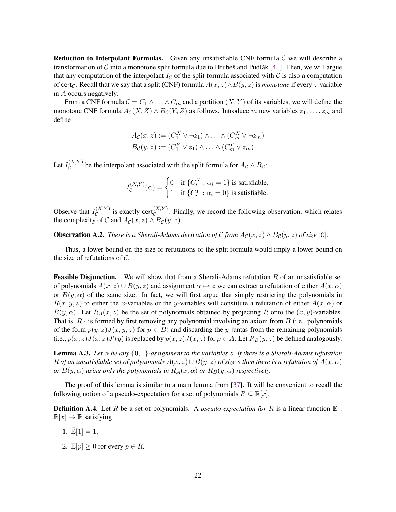**Reduction to Interpolant Formulas.** Given any unsatisfiable CNF formula  $\mathcal{C}$  we will describe a transformation of C into a monotone split formula due to Hrubes and Pudlák [[41\]](#page-29-11). Then, we will argue that any computation of the interpolant  $I_c$  of the split formula associated with C is also a computation of cert<sub>C</sub>. Recall that we say that a split (CNF) formula  $A(x, z) \wedge B(y, z)$  is *monotone* if every z-variable in A occurs negatively.

From a CNF formula  $C = C_1 \wedge \ldots \wedge C_m$  and a partition  $(X, Y)$  of its variables, we will define the monotone CNF formula  $A_{\mathcal{C}}(X, Z) \wedge B_{\mathcal{C}}(Y, Z)$  as follows. Introduce m new variables  $z_1, \ldots, z_m$  and define

$$
A_{\mathcal{C}}(x, z) := (C_1^X \vee \neg z_1) \wedge \dots \wedge (C_m^X \vee \neg z_m)
$$
  

$$
B_{\mathcal{C}}(y, z) := (C_1^Y \vee z_1) \wedge \dots \wedge (C_m^Y \vee z_m)
$$

Let  $I_{\mathcal{C}}^{(X,Y)}$  $\mathcal{C}^{(\Lambda, r)}$  be the interpolant associated with the split formula for  $A_{\mathcal{C}} \wedge B_{\mathcal{C}}$ :

$$
I_{\mathcal{C}}^{(X,Y)}(\alpha) = \begin{cases} 0 & \text{if } \{C_i^X : \alpha_i = 1\} \text{ is satisfiable,} \\ 1 & \text{if } \{C_i^Y : \alpha_i = 0\} \text{ is satisfiable.} \end{cases}
$$

Observe that  $I_{\mathcal{C}}^{(X,Y)}$  $\mathcal{C}^{(X,Y)}_{\mathcal{C}}$  is exactly cert $\mathcal{C}^{(X,Y)}$ . Finally, we record the following observation, which relates the complexity of C and  $A_{\mathcal{C}}(x, z) \wedge B_{\mathcal{C}}(y, z)$ .

<span id="page-22-1"></span>**Observation A.2.** *There is a Sherali-Adams derivation of C from*  $A_{\mathcal{C}}(x, z) \wedge B_{\mathcal{C}}(y, z)$  *of size*  $|\mathcal{C}|$ *.* 

Thus, a lower bound on the size of refutations of the split formula would imply a lower bound on the size of refutations of  $\mathcal{C}$ .

**Feasible Disjunction.** We will show that from a Sherali-Adams refutation  $R$  of an unsatisfiable set of polynomials  $A(x, z) \cup B(y, z)$  and assignment  $\alpha \mapsto z$  we can extract a refutation of either  $A(x, \alpha)$ or  $B(y, \alpha)$  of the same size. In fact, we will first argue that simply restricting the polynomials in  $R(x, y, z)$  to either the x-variables or the y-variables will constitute a refutation of either  $A(x, \alpha)$  or  $B(y, \alpha)$ . Let  $R_A(x, z)$  be the set of polynomials obtained by projecting R onto the  $(x, y)$ -variables. That is,  $R_A$  is formed by first removing any polynomial involving an axiom from  $B$  (i.e., polynomials of the form  $p(y, z)J(x, y, z)$  for  $p \in B$ ) and discarding the y-juntas from the remaining polynomials (i.e.,  $p(x, z)J(x, z)J'(y)$  is replaced by  $p(x, z)J(x, z)$  for  $p \in A$ . Let  $R_B(y, z)$  be defined analogously.

<span id="page-22-0"></span>**Lemma A.3.** *Let*  $\alpha$  *be any*  $\{0, 1\}$ -assignment to the variables z. If there is a Sherali-Adams refutation R of an unsatisfiable set of polynomials  $A(x, z) \cup B(y, z)$  of size s then there is a refutation of  $A(x, \alpha)$ *or*  $B(y, \alpha)$  *using only the polynomials in*  $R_A(x, \alpha)$  *or*  $R_B(y, \alpha)$  *respectively.* 

The proof of this lemma is similar to a main lemma from [\[37\]](#page-28-12). It will be convenient to recall the following notion of a pseudo-expectation for a set of polynomials  $R \subseteq \mathbb{R}[x]$ .

**Definition A.4.** Let R be a set of polynomials. A *pseudo-expectation for* R is a linear function  $\mathbb{E}$  :  $\mathbb{R}[x] \to \mathbb{R}$  satisfying

- 1.  $\tilde{E}[1] = 1$ ,
- 2.  $\mathbb{E}[p] \geq 0$  for every  $p \in R$ .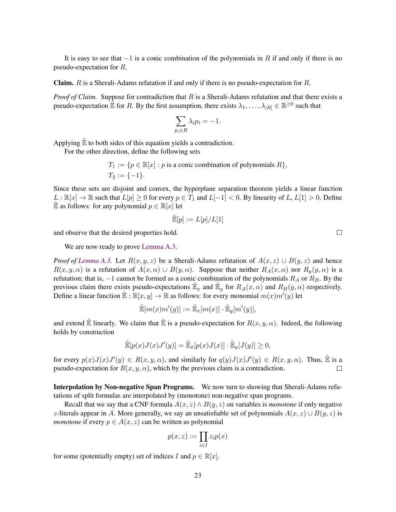It is easy to see that  $-1$  is a conic combination of the polynomials in R if and only if there is no pseudo-expectation for R.

Claim. R is a Sherali-Adams refutation if and only if there is no pseudo-expectation for R.

*Proof of Claim.* Suppose for contradiction that R is a Sherali-Adams refutation and that there exists a pseudo-expectation  $\mathbb{E}$  for R. By the first assumption, there exists  $\lambda_1, \dots, \lambda_{|R|} \in \mathbb{R}^{\geq 0}$  such that

$$
\sum_{p_i \in R} \lambda_i p_i = -1.
$$

Applying  $\tilde{\mathbb{E}}$  to both sides of this equation yields a contradiction.

For the other direction, define the following sets

$$
T_1 := \{ p \in \mathbb{R}[x] : p \text{ is a conic combination of polynomials } R \},
$$
  

$$
T_2 := \{ -1 \}.
$$

Since these sets are disjoint and convex, the hyperplane separation theorem yields a linear function  $L : \mathbb{R}[x] \to \mathbb{R}$  such that  $L[p] \geq 0$  for every  $p \in T_1$  and  $L[-1] < 0$ . By linearity of  $L, L[1] > 0$ . Define  $\tilde{\mathbb{E}}$  as follows: for any polynomial  $p \in \mathbb{R}[x]$  let

$$
\mathbb{\tilde{E}}[p]:=L[p]/L[1]
$$

and observe that the desired properties hold.

We are now ready to prove [Lemma A.3.](#page-22-0)

*Proof of [Lemma A.3.](#page-22-0)* Let  $R(x, y, z)$  be a Sherali-Adams refutation of  $A(x, z) \cup B(y, z)$  and hence  $R(x, y, \alpha)$  is a refutation of  $A(x, \alpha) \cup B(y, \alpha)$ . Suppose that neither  $R_A(x, \alpha)$  nor  $R_y(y, \alpha)$  is a refutation; that is,  $-1$  cannot be formed as a conic combination of the polynomials  $R_A$  or  $R_B$ . By the previous claim there exists pseudo-expectations  $\mathbb{E}_x$  and  $\mathbb{E}_y$  for  $R_A(x, \alpha)$  and  $R_B(y, \alpha)$  respectively. Define a linear function  $\mathbb{E} : \mathbb{R}[x, y] \to \mathbb{R}$  as follows: for every monomial  $m(x)m'(y)$  let

$$
\widetilde{\mathbb{E}}[m(x)m'(y)]:=\widetilde{\mathbb{E}}_x[m(x)]\cdot\widetilde{\mathbb{E}}_y[m'(y)],
$$

and extend  $\mathbb{\tilde{E}}$  linearly. We claim that  $\mathbb{\tilde{E}}$  is a pseudo-expectation for  $R(x, y, \alpha)$ . Indeed, the following holds by construction

$$
\tilde{\mathbb{E}}[p(x)J(x)J'(y)] = \tilde{\mathbb{E}}_x[p(x)J(x)] \cdot \tilde{\mathbb{E}}_y[J(y)] \ge 0,
$$

for every  $p(x)J(x)J'(y) \in R(x, y, \alpha)$ , and similarly for  $q(y)J(x)J'(y) \in R(x, y, \alpha)$ . Thus,  $\tilde{\mathbb{E}}$  is a pseudo-expectation for  $R(x, y, \alpha)$ , which by the previous claim is a contradiction.  $\Box$ 

Interpolation by Non-negative Span Programs. We now turn to showing that Sherali-Adams refutations of split formulas are interpolated by (monotone) non-negative span programs.

Recall that we say that a CNF formula  $A(x, z) \wedge B(y, z)$  on variables is *monotone* if only negative z-literals appear in A. More generally, we say an unsatisfiable set of polynomials  $A(x, z) \cup B(y, z)$  is *monotone* if every  $p \in A(x, z)$  can be written as polynomial

$$
p(x, z) := \prod_{i \in I} z_i p(x)
$$

for some (potentially empty) set of indices I and  $p \in \mathbb{R}[x]$ .

 $\Box$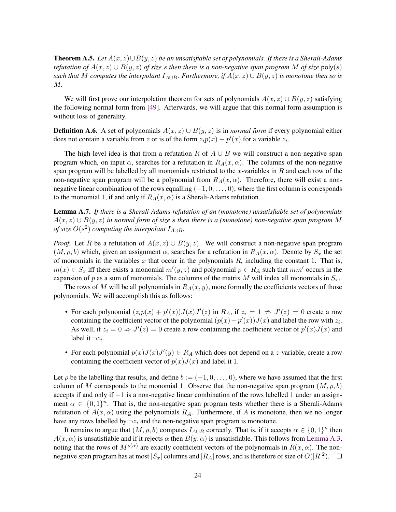<span id="page-24-0"></span>Theorem A.5. *Let* A(x, z)∪B(y, z) *be an unsatisfiable set of polynomials. If there is a Sherali-Adams refutation of*  $A(x, z) \cup B(y, z)$  *of size s then there is a non-negative span program* M *of size* poly(*s*) *such that* M *computes the interpolant*  $I_{A\cup B}$ *. Furthermore, if*  $A(x, z) \cup B(y, z)$  *is monotone then so is* M*.*

We will first prove our interpolation theorem for sets of polynomials  $A(x, z) \cup B(y, z)$  satisfying the following normal form from [\[49\]](#page-29-10). Afterwards, we will argue that this normal form assumption is without loss of generality.

**Definition A.6.** A set of polynomials  $A(x, z) \cup B(y, z)$  is in *normal form* if every polynomial either does not contain a variable from z or is of the form  $z_i p(x) + p'(x)$  for a variable  $z_i$ .

The high-level idea is that from a refutation R of  $A \cup B$  we will construct a non-negative span program which, on input  $\alpha$ , searches for a refutation in  $R_A(x, \alpha)$ . The columns of the non-negative span program will be labelled by all monomials restricted to the  $x$ -variables in  $R$  and each row of the non-negative span program will be a polynomial from  $R_A(x, \alpha)$ . Therefore, there will exist a nonnegative linear combination of the rows equalling  $(-1, 0, \ldots, 0)$ , where the first column is corresponds to the monomial 1, if and only if  $R_A(x, \alpha)$  is a Sherali-Adams refutation.

<span id="page-24-1"></span>Lemma A.7. *If there is a Sherali-Adams refutation of an (monotone) unsatisfiable set of polynomials* A(x, z) ∪ B(y, z) *in normal form of size* s *then there is a (monotone) non-negative span program* M *of size*  $O(s^2)$  *computing the interpolant*  $I_{A\cup B}$ *.* 

*Proof.* Let R be a refutation of  $A(x, z) \cup B(y, z)$ . We will construct a non-negative span program  $(M, \rho, b)$  which, given an assignment  $\alpha$ , searches for a refutation in  $R_A(x, \alpha)$ . Denote by  $S_x$  the set of monomials in the variables x that occur in the polynomials  $R$ , including the constant 1. That is,  $m(x) \in S_x$  iff there exists a monomial  $m'(y, z)$  and polynomial  $p \in R_A$  such that  $mm'$  occurs in the expansion of p as a sum of monomials. The columns of the matrix M will index all monomials in  $S_x$ .

The rows of M will be all polynomials in  $R_A(x, y)$ , more formally the coefficients vectors of those polynomials. We will accomplish this as follows:

- For each polynomial  $(z_i p(x) + p'(x))J(x)J'(z)$  in  $R_A$ , if  $z_i = 1 \nRightarrow J'(z) = 0$  create a row containing the coefficient vector of the polynomial  $(p(x) + p'(x))J(x)$  and label the row with  $z_i$ . As well, if  $z_i = 0 \nArr J'(z) = 0$  create a row containing the coefficient vector of  $p'(x)J(x)$  and label it  $\neg z_i$ .
- For each polynomial  $p(x)J(x)J'(y) \in R_A$  which does not depend on a z-variable, create a row containing the coefficient vector of  $p(x)J(x)$  and label it 1.

Let  $\rho$  be the labelling that results, and define  $b := (-1, 0, \ldots, 0)$ , where we have assumed that the first column of M corresponds to the monomial 1. Observe that the non-negative span program  $(M, \rho, b)$ accepts if and only if −1 is a non-negative linear combination of the rows labelled 1 under an assignment  $\alpha \in \{0,1\}^n$ . That is, the non-negative span program tests whether there is a Sherali-Adams refutation of  $A(x, \alpha)$  using the polynomials  $R_A$ . Furthermore, if A is monotone, then we no longer have any rows labelled by  $\neg z_i$  and the non-negative span program is monotone.

It remains to argue that  $(M, \rho, b)$  computes  $I_{A\cup B}$  correctly. That is, if it accepts  $\alpha \in \{0, 1\}^n$  then  $A(x, \alpha)$  is unsatisfiable and if it rejects  $\alpha$  then  $B(y, \alpha)$  is unsatisfiable. This follows from [Lemma A.3,](#page-22-0) noting that the rows of  $M^{\rho(\alpha)}$  are exactly coefficient vectors of the polynomials in  $R(x, \alpha)$ . The nonnegative span program has at most  $|S_x|$  columns and  $|R_A|$  rows, and is therefore of size of  $O(|R|^2)$ .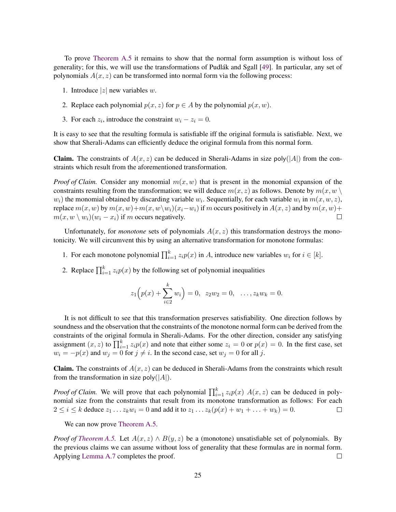To prove [Theorem A.5](#page-24-0) it remains to show that the normal form assumption is without loss of generality; for this, we will use the transformations of Pudlák and Sgall [[49\]](#page-29-10). In particular, any set of polynomials  $A(x, z)$  can be transformed into normal form via the following process:

- 1. Introduce  $|z|$  new variables w.
- 2. Replace each polynomial  $p(x, z)$  for  $p \in A$  by the polynomial  $p(x, w)$ .
- 3. For each  $z_i$ , introduce the constraint  $w_i z_i = 0$ .

It is easy to see that the resulting formula is satisfiable iff the original formula is satisfiable. Next, we show that Sherali-Adams can efficiently deduce the original formula from this normal form.

**Claim.** The constraints of  $A(x, z)$  can be deduced in Sherali-Adams in size poly( $|A|$ ) from the constraints which result from the aforementioned transformation.

*Proof of Claim.* Consider any monomial  $m(x, w)$  that is present in the monomial expansion of the constraints resulting from the transformation; we will deduce  $m(x, z)$  as follows. Denote by  $m(x, w \setminus z)$  $w_i$ ) the monomial obtained by discarding variable  $w_i$ . Sequentially, for each variable  $w_i$  in  $m(x, w, z)$ , replace  $m(x, w)$  by  $m(x, w)+m(x, w\backslash w_i)(x_i-w_i)$  if m occurs positively in  $A(x, z)$  and by  $m(x, w)+m(x, w\backslash w_i)$  $m(x, w \setminus w_i)(w_i - x_i)$  if m occurs negatively.  $\Box$ 

Unfortunately, for *monotone* sets of polynomials  $A(x, z)$  this transformation destroys the monotonicity. We will circumvent this by using an alternative transformation for monotone formulas:

- 1. For each monotone polynomial  $\prod_{i=1}^{k} z_i p(x)$  in A, introduce new variables  $w_i$  for  $i \in [k]$ .
- 2. Replace  $\prod_{i=1}^{k} z_i p(x)$  by the following set of polynomial inequalities

$$
z_1\Big(p(x) + \sum_{i=2}^k w_i\Big) = 0, \ z_2w_2 = 0, \ \ldots, z_kw_k = 0.
$$

It is not difficult to see that this transformation preserves satisfiability. One direction follows by soundness and the observation that the constraints of the monotone normal form can be derived from the constraints of the original formula in Sherali-Adams. For the other direction, consider any satisfying assignment  $(x, z)$  to  $\prod_{i=1}^{k} z_i p(x)$  and note that either some  $z_i = 0$  or  $p(x) = 0$ . In the first case, set  $w_i = -p(x)$  and  $w_j = 0$  for  $j \neq i$ . In the second case, set  $w_j = 0$  for all j.

**Claim.** The constraints of  $A(x, z)$  can be deduced in Sherali-Adams from the constraints which result from the transformation in size poly( $|A|$ ).

*Proof of Claim.* We will prove that each polynomial  $\prod_{i=1}^{k} z_i p(x)$   $A(x, z)$  can be deduced in polynomial size from the constraints that result from its monotone transformation as follows: For each  $2 \le i \le k$  deduce  $z_1 \ldots z_k w_i = 0$  and add it to  $z_1 \ldots z_k(p(x) + w_1 + \ldots + w_k) = 0$ .  $\Box$ 

We can now prove [Theorem A.5.](#page-24-0)

*Proof of [Theorem A.5.](#page-24-0)* Let  $A(x, z) \wedge B(y, z)$  be a (monotone) unsatisfiable set of polynomials. By the previous claims we can assume without loss of generality that these formulas are in normal form. Applying [Lemma A.7](#page-24-1) completes the proof.  $\Box$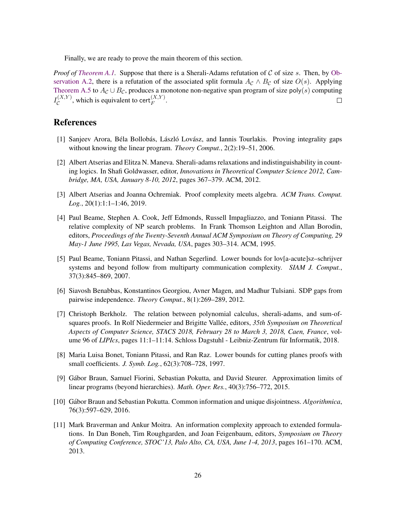Finally, we are ready to prove the main theorem of this section.

*Proof of [Theorem A.1.](#page-21-0)* Suppose that there is a Sherali-Adams refutation of C of size s. Then, by [Ob](#page-22-1)[servation A.2,](#page-22-1) there is a refutation of the associated split formula  $A_c \wedge B_c$  of size  $O(s)$ . Applying [Theorem A.5](#page-24-0) to  $A_{\mathcal{C}} \cup B_{\mathcal{C}}$ , produces a monotone non-negative span program of size poly(s) computing  $I_{\cal C}^{(X,Y)}$  $\mathcal{C}^{(X,Y)}$ , which is equivalent to cert $_{F}^{(X,Y)}$ .  $\Box$ 

# References

- <span id="page-26-0"></span>[1] Sanjeev Arora, Béla Bollobás, László Lovász, and Iannis Tourlakis. Proving integrality gaps without knowing the linear program. *Theory Comput.*, 2(2):19–51, 2006.
- <span id="page-26-2"></span>[2] Albert Atserias and Elitza N. Maneva. Sherali-adams relaxations and indistinguishability in counting logics. In Shafi Goldwasser, editor, *Innovations in Theoretical Computer Science 2012, Cambridge, MA, USA, January 8-10, 2012*, pages 367–379. ACM, 2012.
- <span id="page-26-8"></span>[3] Albert Atserias and Joanna Ochremiak. Proof complexity meets algebra. *ACM Trans. Comput. Log.*, 20(1):1:1–1:46, 2019.
- <span id="page-26-9"></span>[4] Paul Beame, Stephen A. Cook, Jeff Edmonds, Russell Impagliazzo, and Toniann Pitassi. The relative complexity of NP search problems. In Frank Thomson Leighton and Allan Borodin, editors, *Proceedings of the Twenty-Seventh Annual ACM Symposium on Theory of Computing, 29 May-1 June 1995, Las Vegas, Nevada, USA*, pages 303–314. ACM, 1995.
- <span id="page-26-3"></span>[5] Paul Beame, Toniann Pitassi, and Nathan Segerlind. Lower bounds for lov[a-acute]sz–schrijver systems and beyond follow from multiparty communication complexity. *SIAM J. Comput.*, 37(3):845–869, 2007.
- <span id="page-26-1"></span>[6] Siavosh Benabbas, Konstantinos Georgiou, Avner Magen, and Madhur Tulsiani. SDP gaps from pairwise independence. *Theory Comput.*, 8(1):269–289, 2012.
- <span id="page-26-4"></span>[7] Christoph Berkholz. The relation between polynomial calculus, sherali-adams, and sum-ofsquares proofs. In Rolf Niedermeier and Brigitte Vallée, editors, 35th Symposium on Theoretical *Aspects of Computer Science, STACS 2018, February 28 to March 3, 2018, Caen, France*, volume 96 of *LIPIcs*, pages 11:1–11:14. Schloss Dagstuhl - Leibniz-Zentrum für Informatik, 2018.
- <span id="page-26-7"></span>[8] Maria Luisa Bonet, Toniann Pitassi, and Ran Raz. Lower bounds for cutting planes proofs with small coefficients. *J. Symb. Log.*, 62(3):708–728, 1997.
- <span id="page-26-5"></span>[9] Gabor Braun, Samuel Fiorini, Sebastian Pokutta, and David Steurer. Approximation limits of ´ linear programs (beyond hierarchies). *Math. Oper. Res.*, 40(3):756–772, 2015.
- [10] Gabor Braun and Sebastian Pokutta. Common information and unique disjointness. ´ *Algorithmica*, 76(3):597–629, 2016.
- <span id="page-26-6"></span>[11] Mark Braverman and Ankur Moitra. An information complexity approach to extended formulations. In Dan Boneh, Tim Roughgarden, and Joan Feigenbaum, editors, *Symposium on Theory of Computing Conference, STOC'13, Palo Alto, CA, USA, June 1-4, 2013*, pages 161–170. ACM, 2013.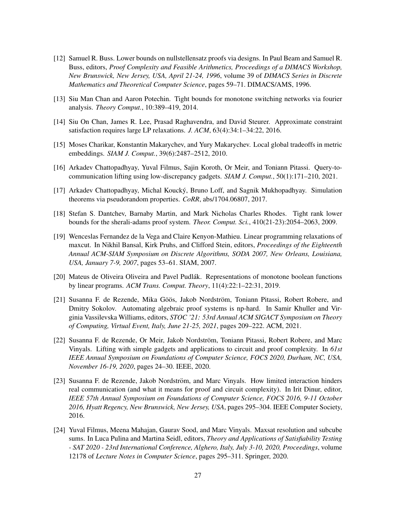- <span id="page-27-11"></span>[12] Samuel R. Buss. Lower bounds on nullstellensatz proofs via designs. In Paul Beam and Samuel R. Buss, editors, *Proof Complexity and Feasible Arithmetics, Proceedings of a DIMACS Workshop, New Brunswick, New Jersey, USA, April 21-24, 1996*, volume 39 of *DIMACS Series in Discrete Mathematics and Theoretical Computer Science*, pages 59–71. DIMACS/AMS, 1996.
- <span id="page-27-12"></span>[13] Siu Man Chan and Aaron Potechin. Tight bounds for monotone switching networks via fourier analysis. *Theory Comput.*, 10:389–419, 2014.
- <span id="page-27-4"></span>[14] Siu On Chan, James R. Lee, Prasad Raghavendra, and David Steurer. Approximate constraint satisfaction requires large LP relaxations. *J. ACM*, 63(4):34:1–34:22, 2016.
- <span id="page-27-0"></span>[15] Moses Charikar, Konstantin Makarychev, and Yury Makarychev. Local global tradeoffs in metric embeddings. *SIAM J. Comput.*, 39(6):2487–2512, 2010.
- <span id="page-27-5"></span>[16] Arkadev Chattopadhyay, Yuval Filmus, Sajin Koroth, Or Meir, and Toniann Pitassi. Query-tocommunication lifting using low-discrepancy gadgets. *SIAM J. Comput.*, 50(1):171–210, 2021.
- <span id="page-27-6"></span>[17] Arkadev Chattopadhyay, Michal Koucky, Bruno Loff, and Sagnik Mukhopadhyay. Simulation ´ theorems via pseudorandom properties. *CoRR*, abs/1704.06807, 2017.
- <span id="page-27-2"></span>[18] Stefan S. Dantchev, Barnaby Martin, and Mark Nicholas Charles Rhodes. Tight rank lower bounds for the sherali-adams proof system. *Theor. Comput. Sci.*, 410(21-23):2054–2063, 2009.
- <span id="page-27-1"></span>[19] Wenceslas Fernandez de la Vega and Claire Kenyon-Mathieu. Linear programming relaxations of maxcut. In Nikhil Bansal, Kirk Pruhs, and Clifford Stein, editors, *Proceedings of the Eighteenth Annual ACM-SIAM Symposium on Discrete Algorithms, SODA 2007, New Orleans, Louisiana, USA, January 7-9, 2007*, pages 53–61. SIAM, 2007.
- <span id="page-27-9"></span>[20] Mateus de Oliveira Oliveira and Pavel Pudlak. Representations of monotone boolean functions ´ by linear programs. *ACM Trans. Comput. Theory*, 11(4):22:1–22:31, 2019.
- <span id="page-27-3"></span>[21] Susanna F. de Rezende, Mika Göös, Jakob Nordström, Toniann Pitassi, Robert Robere, and Dmitry Sokolov. Automating algebraic proof systems is np-hard. In Samir Khuller and Virginia Vassilevska Williams, editors, *STOC '21: 53rd Annual ACM SIGACT Symposium on Theory of Computing, Virtual Event, Italy, June 21-25, 2021*, pages 209–222. ACM, 2021.
- <span id="page-27-7"></span>[22] Susanna F. de Rezende, Or Meir, Jakob Nordström, Toniann Pitassi, Robert Robere, and Marc Vinyals. Lifting with simple gadgets and applications to circuit and proof complexity. In *61st IEEE Annual Symposium on Foundations of Computer Science, FOCS 2020, Durham, NC, USA, November 16-19, 2020*, pages 24–30. IEEE, 2020.
- <span id="page-27-8"></span>[23] Susanna F. de Rezende, Jakob Nordström, and Marc Vinyals. How limited interaction hinders real communication (and what it means for proof and circuit complexity). In Irit Dinur, editor, *IEEE 57th Annual Symposium on Foundations of Computer Science, FOCS 2016, 9-11 October 2016, Hyatt Regency, New Brunswick, New Jersey, USA*, pages 295–304. IEEE Computer Society, 2016.
- <span id="page-27-10"></span>[24] Yuval Filmus, Meena Mahajan, Gaurav Sood, and Marc Vinyals. Maxsat resolution and subcube sums. In Luca Pulina and Martina Seidl, editors, *Theory and Applications of Satisfiability Testing - SAT 2020 - 23rd International Conference, Alghero, Italy, July 3-10, 2020, Proceedings*, volume 12178 of *Lecture Notes in Computer Science*, pages 295–311. Springer, 2020.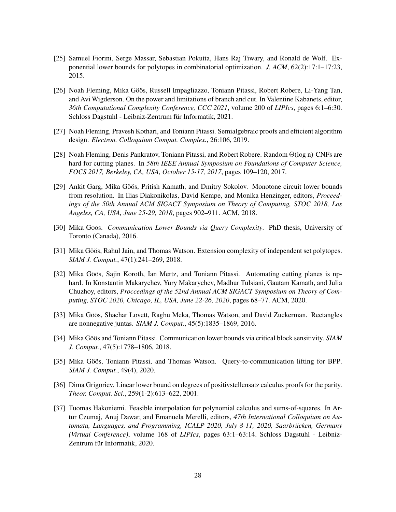- <span id="page-28-2"></span>[25] Samuel Fiorini, Serge Massar, Sebastian Pokutta, Hans Raj Tiwary, and Ronald de Wolf. Exponential lower bounds for polytopes in combinatorial optimization. *J. ACM*, 62(2):17:1–17:23, 2015.
- <span id="page-28-5"></span>[26] Noah Fleming, Mika Göös, Russell Impagliazzo, Toniann Pitassi, Robert Robere, Li-Yang Tan, and Avi Wigderson. On the power and limitations of branch and cut. In Valentine Kabanets, editor, *36th Computational Complexity Conference, CCC 2021*, volume 200 of *LIPIcs*, pages 6:1–6:30. Schloss Dagstuhl - Leibniz-Zentrum für Informatik, 2021.
- <span id="page-28-10"></span>[27] Noah Fleming, Pravesh Kothari, and Toniann Pitassi. Semialgebraic proofs and efficient algorithm design. *Electron. Colloquium Comput. Complex.*, 26:106, 2019.
- <span id="page-28-11"></span>[28] Noah Fleming, Denis Pankratov, Toniann Pitassi, and Robert Robere. Random Θ(log n)-CNFs are hard for cutting planes. In *58th IEEE Annual Symposium on Foundations of Computer Science, FOCS 2017, Berkeley, CA, USA, October 15-17, 2017*, pages 109–120, 2017.
- <span id="page-28-6"></span>[29] Ankit Garg, Mika Göös, Pritish Kamath, and Dmitry Sokolov. Monotone circuit lower bounds from resolution. In Ilias Diakonikolas, David Kempe, and Monika Henzinger, editors, *Proceedings of the 50th Annual ACM SIGACT Symposium on Theory of Computing, STOC 2018, Los Angeles, CA, USA, June 25-29, 2018*, pages 902–911. ACM, 2018.
- <span id="page-28-7"></span>[30] Mika Goos. *Communication Lower Bounds via Query Complexity*. PhD thesis, University of Toronto (Canada), 2016.
- <span id="page-28-3"></span>[31] Mika Göös, Rahul Jain, and Thomas Watson. Extension complexity of independent set polytopes. *SIAM J. Comput.*, 47(1):241–269, 2018.
- <span id="page-28-8"></span>[32] Mika Göös, Sajin Koroth, Ian Mertz, and Toniann Pitassi. Automating cutting planes is nphard. In Konstantin Makarychev, Yury Makarychev, Madhur Tulsiani, Gautam Kamath, and Julia Chuzhoy, editors, *Proccedings of the 52nd Annual ACM SIGACT Symposium on Theory of Computing, STOC 2020, Chicago, IL, USA, June 22-26, 2020*, pages 68–77. ACM, 2020.
- <span id="page-28-4"></span>[33] Mika Göös, Shachar Lovett, Raghu Meka, Thomas Watson, and David Zuckerman. Rectangles are nonnegative juntas. *SIAM J. Comput.*, 45(5):1835–1869, 2016.
- <span id="page-28-0"></span>[34] Mika Göös and Toniann Pitassi. Communication lower bounds via critical block sensitivity. *SIAM J. Comput.*, 47(5):1778–1806, 2018.
- <span id="page-28-9"></span>[35] Mika Göös, Toniann Pitassi, and Thomas Watson. Ouery-to-communication lifting for BPP. *SIAM J. Comput.*, 49(4), 2020.
- <span id="page-28-1"></span>[36] Dima Grigoriev. Linear lower bound on degrees of positivstellensatz calculus proofs for the parity. *Theor. Comput. Sci.*, 259(1-2):613–622, 2001.
- <span id="page-28-12"></span>[37] Tuomas Hakoniemi. Feasible interpolation for polynomial calculus and sums-of-squares. In Artur Czumaj, Anuj Dawar, and Emanuela Merelli, editors, *47th International Colloquium on Automata, Languages, and Programming, ICALP 2020, July 8-11, 2020, Saarbrucken, Germany ¨ (Virtual Conference)*, volume 168 of *LIPIcs*, pages 63:1–63:14. Schloss Dagstuhl - Leibniz-Zentrum für Informatik, 2020.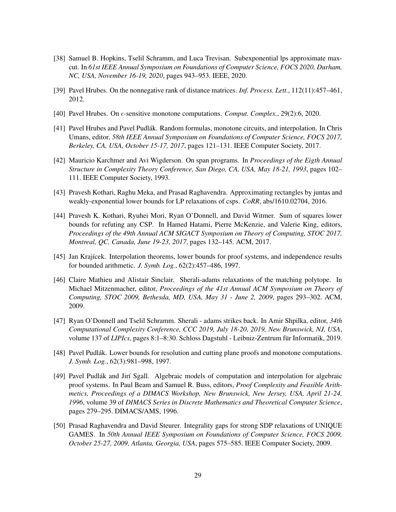- <span id="page-29-0"></span>[38] Samuel B. Hopkins, Tselil Schramm, and Luca Trevisan. Subexponential lps approximate maxcut. In *61st IEEE Annual Symposium on Foundations of Computer Science, FOCS 2020, Durham, NC, USA, November 16-19, 2020*, pages 943–953. IEEE, 2020.
- <span id="page-29-7"></span>[39] Pavel Hrubes. On the nonnegative rank of distance matrices. *Inf. Process. Lett.*, 112(11):457–461, 2012.
- <span id="page-29-6"></span>[40] Pavel Hrubes. On  $\epsilon$ -sensitive monotone computations. *Comput. Complex.*, 29(2):6, 2020.
- <span id="page-29-11"></span>[41] Pavel Hrubes and Pavel Pudlák. Random formulas, monotone circuits, and interpolation. In Chris Umans, editor, *58th IEEE Annual Symposium on Foundations of Computer Science, FOCS 2017, Berkeley, CA, USA, October 15-17, 2017*, pages 121–131. IEEE Computer Society, 2017.
- <span id="page-29-12"></span>[42] Mauricio Karchmer and Avi Wigderson. On span programs. In *Proceedings of the Eigth Annual Structure in Complexity Theory Conference, San Diego, CA, USA, May 18-21, 1993*, pages 102– 111. IEEE Computer Society, 1993.
- <span id="page-29-5"></span>[43] Pravesh Kothari, Raghu Meka, and Prasad Raghavendra. Approximating rectangles by juntas and weakly-exponential lower bounds for LP relaxations of csps. *CoRR*, abs/1610.02704, 2016.
- <span id="page-29-1"></span>[44] Pravesh K. Kothari, Ryuhei Mori, Ryan O'Donnell, and David Witmer. Sum of squares lower bounds for refuting any CSP. In Hamed Hatami, Pierre McKenzie, and Valerie King, editors, *Proceedings of the 49th Annual ACM SIGACT Symposium on Theory of Computing, STOC 2017, Montreal, QC, Canada, June 19-23, 2017*, pages 132–145. ACM, 2017.
- <span id="page-29-8"></span>[45] Jan Krajícek. Interpolation theorems, lower bounds for proof systems, and independence results for bounded arithmetic. *J. Symb. Log.*, 62(2):457–486, 1997.
- <span id="page-29-2"></span>[46] Claire Mathieu and Alistair Sinclair. Sherali-adams relaxations of the matching polytope. In Michael Mitzenmacher, editor, *Proceedings of the 41st Annual ACM Symposium on Theory of Computing, STOC 2009, Bethesda, MD, USA, May 31 - June 2, 2009*, pages 293–302. ACM, 2009.
- <span id="page-29-3"></span>[47] Ryan O'Donnell and Tselil Schramm. Sherali - adams strikes back. In Amir Shpilka, editor, *34th Computational Complexity Conference, CCC 2019, July 18-20, 2019, New Brunswick, NJ, USA*, volume 137 of *LIPIcs*, pages 8:1–8:30. Schloss Dagstuhl - Leibniz-Zentrum fur Informatik, 2019. ¨
- <span id="page-29-9"></span>[48] Pavel Pudlak. Lower bounds for resolution and cutting plane proofs and monotone computations. ´ *J. Symb. Log.*, 62(3):981–998, 1997.
- <span id="page-29-10"></span>[49] Pavel Pudlák and Jirí Sgall. Algebraic models of computation and interpolation for algebraic proof systems. In Paul Beam and Samuel R. Buss, editors, *Proof Complexity and Feasible Arithmetics, Proceedings of a DIMACS Workshop, New Brunswick, New Jersey, USA, April 21-24, 1996*, volume 39 of *DIMACS Series in Discrete Mathematics and Theoretical Computer Science*, pages 279–295. DIMACS/AMS, 1996.
- <span id="page-29-4"></span>[50] Prasad Raghavendra and David Steurer. Integrality gaps for strong SDP relaxations of UNIQUE GAMES. In *50th Annual IEEE Symposium on Foundations of Computer Science, FOCS 2009, October 25-27, 2009, Atlanta, Georgia, USA*, pages 575–585. IEEE Computer Society, 2009.